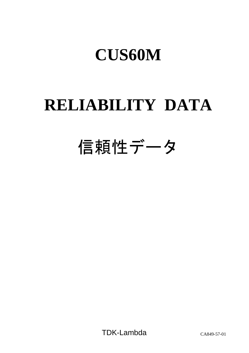# **RELIABILITY DATA**

# 信頼性データ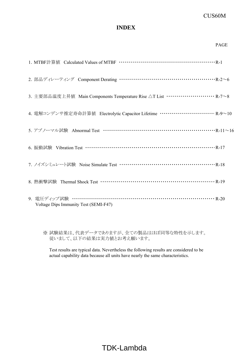## **INDEX**

|                                                                                        | <b>PAGE</b> |
|----------------------------------------------------------------------------------------|-------------|
|                                                                                        |             |
| 2. 部品ディレーティング Component Derating ……………………………………………… R-2~6                              |             |
| 3. 主要部品温度上昇値 Main Components Temperature Rise △T List ·························· R-7∼8 |             |
| 4. 電解コンデンサ推定寿命計算値 Electrolytic Capacitor Lifetime ……………………… R-9~10                     |             |
| 5. アブノーマル試験 Abnormal Test ………………………………………………………… R-11~16                               |             |
| 6. 振動試験 Vibration Test …………………………………………………………… R-17                                    |             |
| 7. ノイズシミュレート試験 Noise Simulate Test …………………………………………… R-18                              |             |
|                                                                                        |             |
| 9. 電圧ディップ試験 ………………………………………………………………… R-20<br>Voltage Dips Immunity Test (SEMI-F47)    |             |

※ 試験結果は、代表データでありますが、全ての製品はほぼ同等な特性を示します。 従いまして、以下の結果は実力値とお考え願います。

Test results are typical data. Nevertheless the following results are considered to be actual capability data because all units have nearly the same characteristics.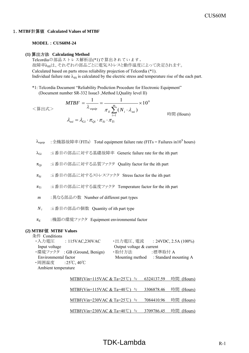#### 1.**MTBF**計算値 **Calculated Values of MTBF**

#### **MODEL** : **CUS60M-24**

#### **(1)** 算出方法 **Calculating Method**

Telcordiaの部品ストレス解析法(\*1)で算出されています。 故障率んssは、それぞれの部品ごとに電気ストレスと動作温度によって決定されます。 Calculated based on parts stress reliability projection of Telcordia (\*1). Individual failure rate  $\lambda_{SS}$  is calculated by the electric stress and temperature rise of the each part.

\*1: Telcordia Document "Reliability Prediction Procedure for Electronic Equipment" (Document number SR-332 Issue3 ,Method I,Quality level II)

$$
\langle \hat{\mathbf{g}} | \mathbf{H} \mathbf{x} \rangle
$$
\n
$$
\mathbf{M} \mathbf{T} \mathbf{B} \mathbf{F} = \frac{1}{\lambda_{\text{equiv}}} = \frac{1}{\pi_E \sum_{i=1}^{m} (N_i \cdot \lambda_{\text{ss}i})} \times 10^9
$$
\n
$$
\lambda_{\text{ss}i} = \lambda_{\text{G}i} \cdot \pi_{\text{Q}i} \cdot \pi_{\text{Si}} \cdot \pi_{\text{Ti}}
$$
\n(Hours)

- $\lambda_{\rm equip}$  :全機器故障率(FITs) Total equipment failure rate (FITs = Failures in10 $^9$  hours)
- λG*<sup>i</sup>* :i 番目の部品に対する基礎故障率 Generic failure rate for the ith part
- πQ*<sup>i</sup>* :i 番目の部品に対する品質ファクタ Quality factor for the ith part
- πS*<sup>i</sup>* :i 番目の部品に対するストレスファクタ Stress factor for the ith part
- πT*<sup>i</sup>* :i 番目の部品に対する温度ファクタ Temperature factor for the ith part
- *m* :異なる部品の数 Number of different part types
- *N <sup>i</sup>* :i 番目の部品の個数 Quantity of ith part type
- π*<sup>E</sup>* :機器の環境ファクタ Equipment environmental factor

#### **(2) MTBF**値 **MTBF Values**

条件 Conditions

| ・入力電圧                | : $115\text{VAC},230\text{VAC}$ |                            | ・出力電圧、電流 : 24VDC, 2.5A (100%) |
|----------------------|---------------------------------|----------------------------|-------------------------------|
| Input voltage        |                                 | Output voltage $&$ current |                               |
|                      | ・環境ファクタ : GB (Ground, Benign)   | ·取付方法                      | :標準取付 A                       |
| Environmental factor |                                 | Mounting method            | : Standard mounting A         |
| ・周囲温度  :25℃,40℃      |                                 |                            |                               |
| Ambient temperature  |                                 |                            |                               |

| MTBF(Vin=115VAC & Ta=25℃) ≒ 6324137.59 時間 (Hours) |  |
|---------------------------------------------------|--|
| MTBF(Vin=115VAC & Ta=40℃) ≒ 3306878.46 時間 (Hours) |  |
| MTBF(Vin=230VAC & Ta=25℃) ≒ 7084410.96 時間 (Hours) |  |
| MTBF(Vin=230VAC & Ta=40℃) ≒ 3709786.45 時間 (Hours) |  |

## $TDK-Lambda$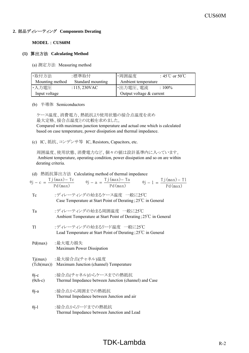## **2**.部品ディレーティング **Components Derating**

#### **MODEL** : **CUS60M**

#### **(1)** 算出方法 **Calculating Method**

(a) 測定方法 Measuring method

| ·取付方法<br>:標準取付  |                   | ・周囲温度                      | : 45°C or 50°C |
|-----------------|-------------------|----------------------------|----------------|
| Mounting method | Standard mounting | Ambient temperature        |                |
| ・入力電圧           | : 115, 230VAC     | ・出力電圧、電流                   | $:100\%$       |
| Input voltage   |                   | Output voltage $&$ current |                |

(b) 半導体 Semiconductors

 ケース温度、消費電力、熱抵抗より使用状態の接合点温度を求め 最大定格、接合点温度との比較を求めました。

 Compared with maximum junction temperature and actual one which is calculated based on case temperature, power dissipation and thermal impedance.

(c) IC、抵抗、コンデンサ等 IC, Resistors, Capacitors, etc.

 周囲温度、使用状態、消費電力など、個々の値は設計基準内に入っています。 Ambient temperature, operating condition, power dissipation and so on are within derating criteria.

|  | (d) 熱抵抗算出方法 Calculating method of thermal impedance |
|--|-----------------------------------------------------|
|--|-----------------------------------------------------|

|                 | $\theta j - c = \frac{T j (max) - T c}{P d (max)}$ $\theta j - a = \frac{T j (max) - T a}{P d (max)}$ $\theta j - 1 = \frac{T j (max) - T 1}{P d (max)}$ |
|-----------------|----------------------------------------------------------------------------------------------------------------------------------------------------------|
| Tc              | :ディレーティングの始まるケース温度 一般に25℃<br>Case Temperature at Start Point of Derating; 25°C in General                                                                |
| Ta              | :ディレーティングの始まる周囲温度 一般に25℃<br>Ambient Temperature at Start Point of Derating; 25°C in General                                                              |
| T <sub>1</sub>  | :ディレーティングの始まるリード温度 一般に25℃<br>Lead Temperature at Start Point of Derating; 25 <sup>°</sup> C in General                                                   |
| Pd(max)         | :最大電力損失<br>Maximum Power Dissipation                                                                                                                     |
|                 | Tj(max) :最大接合点(チャネル)温度<br>(Tch(max)) Maximum Junction (channel) Temperature                                                                              |
| $(\theta$ ch-c) | θj-c :接合点(チャネル)からケースまでの熱抵抗<br>Thermal Impedance between Junction (channel) and Case                                                                      |
| $\theta$ j-a    | :接合点から周囲までの熱抵抗<br>Thermal Impedance between Junction and air                                                                                             |
| $\theta$ j-l    | :接合点からリードまでの熱抵抗<br>Thermal Impedance between Junction and Lead                                                                                           |

## $TDK-Lambda$  R-2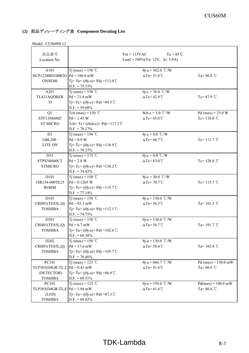| 部品番号                              |                                                                        | $Ta = 45^{\circ}C$<br>$Vin = 115VAC$ |                       |
|-----------------------------------|------------------------------------------------------------------------|--------------------------------------|-----------------------|
| Location No.                      | Load = $100\%$ (Vo: 12V, Io: 5.0A)                                     |                                      |                       |
|                                   |                                                                        |                                      |                       |
| A101                              | T <sub>j</sub> (max) = 150 °C                                          | $\theta$ j-a = 162.0 °C/W            |                       |
| $NCP1234BD100R2G$ $Pd = 100.0$ mW |                                                                        | $\triangle$ Ta=51.8°C                | Ta=96.8 $\degree$ C   |
| <b>ONSEMI</b>                     | Tj=Ta+(( $\theta$ j-a)×Pd)=113.0 °C                                    |                                      |                       |
|                                   | $D.F. = 75.33\%$                                                       |                                      |                       |
| A201                              | Tj (max) = 150 °C                                                      | $\theta$ j-c = 76.0 °C/W             |                       |
| TL431AQDBZR                       | $Pd = 21.4$ mW                                                         | $\triangle Tc = 42.9^{\circ}C$       | Tc= $87.9$ °C         |
| <b>TI</b>                         | T <sub>j</sub> = T <sub>c</sub> + ((θj-c) × P <sub>d</sub> ) = 89.5 °C |                                      |                       |
|                                   | $D.F. = 59.68\%$                                                       |                                      |                       |
| Q1                                | Tch (max) = $150$ °C                                                   | $\theta$ ch-c = 5.0 °C/W             | Pd (max) = $25.0 W$   |
| STF13N60M2                        | $Pd = 1.45 W$                                                          | $\triangle Tc = 65.0^{\circ}C$       | Tc= $110.0$ °C        |
| <b>ST MICRO</b>                   | Tch=Tc+ (( $\theta$ ch-c) × Pd) = 117.3 °C                             |                                      |                       |
|                                   | $D.F. = 78.17\%$                                                       |                                      |                       |
| D1                                | Tj (max) = 150 °C                                                      | $\theta$ j-c = 8.0 °C/W              |                       |
| <b>GBL206</b>                     | $Pd = 0.9 W$                                                           | $\Delta Tc = 66.7^{\circ}C$          | Tc= $111.7$ °C        |
| <b>LITE ON</b>                    | $Tj = Tc + ((\theta j - c) \times Pd) = 118.9^{\circ}C$                |                                      |                       |
|                                   | $D.F. = 79.27\%$                                                       |                                      |                       |
| D51                               | T <sub>j</sub> (max) = 175 °C                                          | $\theta$ j-c = 0.8 °C/W              |                       |
| STPS30H60CT                       | $Pd = 2.8 W$                                                           | $\triangle Tc = 83.0^{\circ}C$       | Tc= $128.0$ °C        |
| <b>STMICRO</b>                    | $T = Tc + ((\theta i - c) \times Pd) = 130.2^{\circ}C$                 |                                      |                       |
|                                   | $D.F. = 74.42\%$                                                       |                                      |                       |
| D101                              | Tj (max) = 150 °C                                                      | $\theta$ j-c = 30.0 °C/W             |                       |
| 1SR154-600TE25                    | $Pd = 0.1265$ W                                                        | $\triangle Tc = 70.7^{\circ}C$       | Tc= $115.7^{\circ}$ C |
| <b>ROHM</b>                       | $T = Tc + ((\theta i - c) \times Pd) = 115.7^{\circ}C$                 |                                      |                       |
|                                   | $D.F. = 77.14\%$                                                       |                                      |                       |
| D103                              | T <sub>j</sub> (max) = 150 °C                                          | $\theta$ j-a = 130.0 °C/W            |                       |
| CRH01(TE85L,Q)                    | $Pd = 83.3$ mW                                                         | $\triangle$ Ta=56.3°C                | Ta= $101.3$ °C        |
| <b>TOSHIBA</b>                    | Tj=Ta+(( $\theta$ j-a)×Pd) =112.1 °C                                   |                                      |                       |
|                                   | $D.F. = 74.75\%$                                                       |                                      |                       |
| D <sub>201</sub>                  | Tj (max) = 150 °C                                                      | $\theta$ j-a = 130.0 °C/W            |                       |
| CRH01(TE85L,Q)                    | $Pd = 6.7$ mW                                                          | $\triangle$ Ta=56.7°C                | Ta= $101.7$ °C        |
| <b>TOSHIBA</b>                    | Tj=Ta+(( $\theta$ j-a)×Pd)=102.6 °C                                    |                                      |                       |
|                                   | $D.F. = 68.38\%$                                                       |                                      |                       |
| D <sub>202</sub>                  | Tj (max) = 150 °C                                                      | $\theta$ j-a = 130.0 °C/W            |                       |
| CRH01(TE85L,Q)                    | $Pd = 17.6$ mW                                                         | $\triangle$ Ta=58.4°C                | Ta= $103.4$ °C        |
| <b>TOSHIBA</b>                    | Tj=Ta+(( $\theta$ j-a)×Pd)=105.7°C                                     |                                      |                       |
|                                   | $D.F. = 70.46\%$                                                       |                                      |                       |
| PC101                             | T <sub>j</sub> (max) = 125 °C                                          | $\theta$ j-a = 666.7 °C/W            | $Pd(max) = 150.0$ mW  |
| TLP385(D4GR-TL,E $Pd = 0.43$ mW   |                                                                        | $\Delta$ Ta=41.6°C                   | Ta= $86.6^{\circ}$ C  |
| (DETECTOR)                        | Tj=Ta+(( $\theta$ j-a)×Pd)=86.9°C                                      |                                      |                       |
| <b>TOSHIBA</b>                    | $D.F. = 69.51\%$                                                       |                                      |                       |
| PC101                             | Tj (max) = 125 °C                                                      | $\theta$ j-a = 350.0 °C/W            | $Pd(max) = 100.0$ mW  |
| TLP385(D4GR-TL,E $Pd = 1.94$ mW   |                                                                        | $\Delta$ Ta=41.6°C                   | Ta= $86.6^{\circ}$ C  |
| (LED)                             | Tj=Ta+(( $\theta$ j-a) × Pd) = 87.3 °C                                 |                                      |                       |
| <b>TOSHIBA</b>                    | $D.F. = 69.82\%$                                                       |                                      |                       |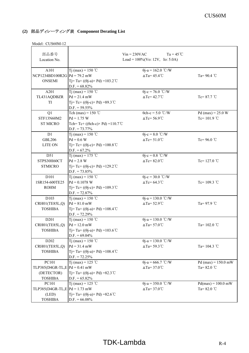| 部品番号                                     |                                                                            | $Ta = 45^{\circ}C$<br>$Vin = 230VAC$               |                                        |
|------------------------------------------|----------------------------------------------------------------------------|----------------------------------------------------|----------------------------------------|
| Location No.                             |                                                                            | Load = $100\%$ (Vo: 12V, Io: 5.0A)                 |                                        |
| A101                                     | Tj (max) = 150 °C                                                          | $\theta$ j-a = 162.0 °C/W                          |                                        |
| $NCP1234BD100R2G$ $Pd = 79.2$ mW         |                                                                            | $\triangle$ Ta=45.4°C                              | Ta= $90.4$ °C                          |
| <b>ONSEMI</b>                            | Tj=Ta+(( $\theta$ j-a)×Pd)=103.2°C                                         |                                                    |                                        |
|                                          | $D.F. = 68.82\%$                                                           |                                                    |                                        |
| A201                                     | T <sub>i</sub> (max) = 150 °C                                              | $\theta$ j-c = 76.0 °C/W                           |                                        |
| TL431AQDBZR                              | $Pd = 21.4$ mW                                                             | $\triangle Tc = 42.7^{\circ}C$                     | Tc= $87.7^{\circ}$ C                   |
| TI                                       | Tj=Tc+ (( $\theta$ j-c) × Pd) = 89.3 °C                                    |                                                    |                                        |
|                                          | $D.F. = 59.55\%$                                                           |                                                    |                                        |
| Q1                                       | Tch (max) = $150$ °C                                                       | $\theta$ ch-c = 5.0 °C/W                           | Pd (max) = $25.0 W$                    |
| STF13N60M2                               | $Pd = 1.75 W$                                                              | $\triangle Tc = 56.9^{\circ}C$                     | Tc= $101.9$ °C                         |
| <b>ST MICRO</b>                          | Tch=Tc+ (( $\theta$ ch-c) × Pd) = 110.7 °C                                 |                                                    |                                        |
|                                          | $D.F. = 73.77\%$                                                           |                                                    |                                        |
| D1                                       | T <sub>j</sub> (max) = 150 °C                                              | $\theta$ j-c = 8.0 °C/W                            |                                        |
| <b>GBL206</b>                            | $Pd = 0.6 W$                                                               | $\triangle Tc = 51.0^{\circ}C$                     | Tc=96.0 $°C$                           |
| <b>LITE ON</b>                           | $Tj = Tc + ((\theta j - c) \times Pd) = 100.8$ °C                          |                                                    |                                        |
|                                          | $D.F. = 67.2\%$                                                            |                                                    |                                        |
| D51                                      | Tj (max) = 175 °C                                                          | $\theta$ j-c = 0.8 °C/W                            |                                        |
| STPS30H60CT                              | $Pd = 2.8 W$                                                               | $\triangle Tc = 82.0^{\circ}C$                     | Tc= $127.0$ °C                         |
| <b>STMICRO</b>                           | $T = Tc + ((\theta i - c) \times Pd) = 129.2^{\circ}C$<br>$D.F. = 73.85\%$ |                                                    |                                        |
| D101                                     | T <sub>j</sub> (max) = 150 °C                                              | $\theta$ j-c = 30.0 °C/W                           |                                        |
| 1SR154-600TE25                           | $Pd = 0.1078$ W                                                            | $\triangle Tc = 64.3^{\circ}C$                     | Tc=109.3 °C                            |
| <b>ROHM</b>                              | Tj=Tc+(( $\theta$ j-c) × Pd) = 109.3 °C                                    |                                                    |                                        |
|                                          | $D.F. = 72.87\%$                                                           |                                                    |                                        |
| D103                                     | Tj (max) = 150 °C                                                          | $\theta$ j-a = 130.0 °C/W                          |                                        |
| CRH01(TE85L,Q)                           | $Pd = 81.0$ mW                                                             | $\triangle$ Ta=52.9°C                              | Ta= $97.9$ °C                          |
| <b>TOSHIBA</b>                           | $T = Ta + ((\theta - a) \times Pd) = 108.4^{\circ}C$                       |                                                    |                                        |
|                                          | $D.F. = 72.29\%$                                                           |                                                    |                                        |
| D201                                     | Tj (max) = 150 °C                                                          | $\theta$ j-a = 130.0 °C/W                          |                                        |
| CRH01(TE85L,Q)                           | $Pd = 12.0$ mW                                                             | $\triangle$ Ta=57.0°C                              | Ta= $102.0$ °C                         |
| <b>TOSHIBA</b>                           | $T = Ta + ((\theta - a) \times Pd) = 103.6^{\circ}C$                       |                                                    |                                        |
|                                          | $D.F. = 69.04\%$                                                           |                                                    |                                        |
| D202                                     | T <sub>j</sub> (max) = 150 °C                                              | $\theta$ j-a = 130.0 °C/W                          |                                        |
| CRH01(TE85L,Q)                           | $Pd = 31.4$ mW                                                             | $\triangle$ Ta=59.3°C                              | Ta= $104.3$ °C                         |
| <b>TOSHIBA</b>                           | Tj=Ta+(( $\theta$ j-a)×Pd)=108.4 °C                                        |                                                    |                                        |
|                                          | $D.F. = 72.25\%$                                                           |                                                    |                                        |
| PC101<br>TLP385(D4GR-TL,E $Pd = 0.41$ mW | Tj (max) = 125 °C                                                          | $\theta$ j-a = 666.7 °C/W<br>$\triangle$ Ta=37.0°C | $Pd$ (max) = 150.0 mW<br>Ta= $82.0$ °C |
| (DETECTOR)                               | Tj=Ta+(( $\theta$ j-a)×Pd)=82.3 °C                                         |                                                    |                                        |
| <b>TOSHIBA</b>                           | $D.F. = 65.82\%$                                                           |                                                    |                                        |
| PC101                                    | Tj (max) = 125 °C                                                          | $\theta$ j-a = 350.0 °C/W                          | $Pd(max) = 100.0$ mW                   |
| TLP385(D4GR-TL,E  Pd = 1.73 mW           |                                                                            | $\triangle$ Ta=37.0°C                              | Ta= $82.0$ °C                          |
| (LED)                                    | Tj=Ta+(( $\theta$ j-a)×Pd)=82.6 °C                                         |                                                    |                                        |
| <b>TOSHIBA</b>                           | $D.F. = 66.08\%$                                                           |                                                    |                                        |
|                                          |                                                                            |                                                    |                                        |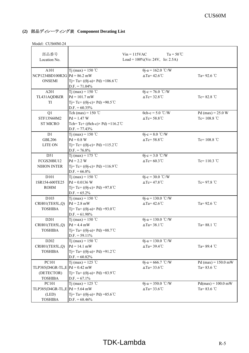|                 | 部品番号<br>Location No.             | $Vin = 115VAC$<br>$Ta = 50^{\circ}C$<br>Load = $100\%$ (Vo: 24V, Io: 2.5A) |                                |                       |
|-----------------|----------------------------------|----------------------------------------------------------------------------|--------------------------------|-----------------------|
|                 |                                  |                                                                            |                                |                       |
|                 | A101                             | Tj (max) = 150 °C                                                          | $\theta$ j-a = 162.0 °C/W      |                       |
|                 | $NCP1234BD100R2G$ $Pd = 86.2$ mW |                                                                            | $\triangle$ Ta=42.6°C          | Ta= $92.6$ °C         |
|                 | <b>ONSEMI</b>                    | Tj=Ta+(( $\theta$ j-a)×Pd)=106.6 °C                                        |                                |                       |
|                 |                                  | $D.F. = 71.04\%$                                                           |                                |                       |
|                 | A201                             | T <sub>j</sub> (max) = 150 °C                                              | $\theta$ j-c = 76.0 °C/W       |                       |
|                 | TL431AQDBZR                      | $Pd = 101.7$ mW                                                            | $\triangle Tc = 32.8^{\circ}C$ | Tc= $82.8$ °C         |
|                 | TI                               | Tj=Tc+ (( $\theta$ j-c) × Pd) = 90.5 °C                                    |                                |                       |
|                 |                                  | $D.F. = 60.35\%$                                                           |                                |                       |
|                 | Q1                               | Tch (max) = $150$ °C                                                       | $\theta$ ch-c = 5.0 °C/W       | Pd (max) = $25.0 W$   |
|                 | STF13N60M2                       | $Pd = 1.47 W$                                                              | $\triangle Tc = 58.8^{\circ}C$ | Tc= $108.8$ °C        |
|                 | <b>ST MICRO</b>                  | Tch=Tc+ (( $\theta$ ch-c) × Pd) = 116.2 °C                                 |                                |                       |
|                 |                                  | $D.F. = 77.43\%$                                                           |                                |                       |
|                 | D1                               | T <sub>i</sub> (max) = 150 °C                                              | $\theta$ j-c = 8.0 °C/W        |                       |
|                 | <b>GBL206</b>                    | $Pd = 0.8 W$                                                               | $\triangle Tc = 58.8^{\circ}C$ | Tc= $108.8$ °C        |
|                 | <b>LITE ON</b>                   | Tj=Tc+ (( $\theta$ j-c) × Pd) = 115.2 °C                                   |                                |                       |
|                 |                                  | $D.F. = 76.8\%$                                                            |                                |                       |
|                 | D51                              | T <sub>j</sub> (max) = 175 °C                                              | $\theta$ j-c = 3.0 °C/W        |                       |
|                 | FCGS20BU12                       | $Pd = 2.2 W$                                                               | $\triangle Tc = 60.3$ °C       | Tc= $110.3$ °C        |
|                 | <b>NIHON INTER</b>               | Tj=Tc+(( $\theta$ j-c) × Pd) = 116.9 °C                                    |                                |                       |
|                 | D101                             | $D.F. = 66.8\%$<br>Tj (max) = 150 °C                                       | $\theta$ j-c = 30.0 °C/W       |                       |
|                 | 1SR154-600TE25                   | $Pd = 0.0136$ W                                                            | $\triangle Tc = 47.8^{\circ}C$ | Tc=97.8 $°C$          |
|                 | <b>ROHM</b>                      | Tj=Tc+ (( $\theta$ j-c) × Pd) =97.8 °C                                     |                                |                       |
| $D.F. = 65.2\%$ |                                  |                                                                            |                                |                       |
|                 | D103                             | Tj (max) = 150 °C                                                          | $\theta$ j-a = 130.0 °C/W      |                       |
|                 | CRH01(TE85L,Q)                   | $Pd = 2.8$ mW                                                              | $\triangle$ Ta=42.6°C          | Ta= $92.6$ °C         |
|                 | <b>TOSHIBA</b>                   | Tj=Ta+(( $\theta$ j-a)×Pd)=93.0 °C                                         |                                |                       |
|                 |                                  | $D.F. = 61.98\%$                                                           |                                |                       |
|                 | D201                             | Tj (max) = 150 °C                                                          | $\theta$ j-a = 130.0 °C/W      |                       |
|                 | CRH01(TE85L,Q)                   | $Pd = 4.4$ mW                                                              | $\triangle$ Ta=38.1°C          | Ta= $88.1^{\circ}$ C  |
|                 | <b>TOSHIBA</b>                   | Tj = Ta + $((\theta j - a) \times Pd)$ = 88.7 °C                           |                                |                       |
|                 |                                  | $D.F. = 59.11\%$                                                           |                                |                       |
|                 | D202                             | T <sub>j</sub> (max) = 150 °C                                              | $\theta$ j-a = 130.0 °C/W      |                       |
|                 | CRH01(TE85L,Q)                   | $Pd = 14.1$ mW                                                             | $\triangle$ Ta=39.4°C          | Ta= $89.4$ °C         |
|                 | <b>TOSHIBA</b>                   | Tj=Ta+(( $\theta$ j-a) × Pd) =91.2 °C                                      |                                |                       |
|                 |                                  | $D.F. = 60.82\%$                                                           |                                |                       |
|                 | PC101                            | Tj (max) = 125 °C                                                          | $\theta$ j-a = 666.7 °C/W      | $Pd$ (max) = 150.0 mW |
|                 | TLP385(D4GR-TL,E $Pd = 0.42$ mW  |                                                                            | $\triangle$ Ta=33.6°C          | Ta= $83.6$ °C         |
|                 | (DETECTOR)                       | Tj=Ta+( $(\theta$ j-a)×Pd)=83.9°C                                          |                                |                       |
|                 | <b>TOSHIBA</b>                   | $D.F. = 67.1\%$                                                            |                                |                       |
|                 | PC101                            | Tj (max) = 125 °C                                                          | $\theta$ j-a = 350.0 °C/W      | $Pd(max) = 100.0$ mW  |
|                 | TLP385(D4GR-TL,E $Pd = 5.64$ mW  |                                                                            | $\triangle$ Ta=33.6°C          | Ta= $83.6$ °C         |
|                 | (LED)                            | Tj=Ta+(( $\theta$ j-a)×Pd)=85.6 °C                                         |                                |                       |
|                 | <b>TOSHIBA</b>                   | $D.F. = 68.46\%$                                                           |                                |                       |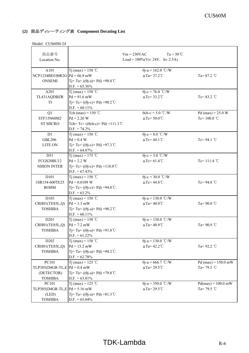| 部品番号                             |                                                         | $Ta = 50^{\circ}C$<br>$Vin = 230VAC$ |                      |
|----------------------------------|---------------------------------------------------------|--------------------------------------|----------------------|
| Location No.                     |                                                         | Load = $100\%$ (Vo: 24V, Io: 2.5A)   |                      |
|                                  |                                                         |                                      |                      |
| A101                             | T <sub>j</sub> (max) = 150 °C                           | $\theta$ j-a = 162.0 °C/W            |                      |
| $NCP1234BD100R2G$ $Pd = 66.9$ mW |                                                         | $\triangle$ Ta=37.2°C                | Ta= $87.2$ °C        |
| <b>ONSEMI</b>                    | Tj= Ta+ ((θj-a)× Pd) =98.0 ℃                            |                                      |                      |
|                                  | $D.F. = 65.36\%$                                        |                                      |                      |
| A201                             | Tj (max) = 150 °C                                       | $\theta$ j-c = 76.0 °C/W             |                      |
| TL431AQDBZR                      | $Pd = 91.6$ mW                                          | $\triangle Tc = 33.2^{\circ}C$       | $Tc = 83.2$ °C       |
| TI                               | Ti= Tc+ $((\theta$ j-c $)\times$ Pd $)$ =90.2 °C        |                                      |                      |
|                                  | $D.F. = 60.11\%$                                        |                                      |                      |
| Q1                               | Tch (max) = $150$ °C                                    | $\theta$ ch-c = 5.0 °C/W             | Pd (max) = $25.0 W$  |
| STF13N60M2                       | $Pd = 2.26 W$                                           | $\triangle Tc = 50.0^{\circ}C$       | Tc= $100.0$ °C       |
| <b>ST MICRO</b>                  | Tch=Tc+ (( $\theta$ ch-c) × Pd) = 111.3 °C              |                                      |                      |
|                                  | $D.F. = 74.2\%$                                         |                                      |                      |
| D1                               | Tj (max) = 150 °C                                       | $\theta$ j-c = 8.0 °C/W              |                      |
| <b>GBL206</b>                    | $Pd = 0.4 W$                                            | $\triangle Tc = 44.1^{\circ}C$       | Tc=94.1 $°C$         |
| <b>LITE ON</b>                   | Tj=Tc+ (( $\theta$ j-c) × Pd) = 97.3 °C                 |                                      |                      |
|                                  | $D.F. = 64.87\%$                                        |                                      |                      |
| D51                              | Tj (max) = 175 °C                                       | $\theta$ j-c = 3.0 °C/W              |                      |
| <b>FCGS20BU12</b>                | $Pd = 2.2 W$                                            | $\Delta Tc = 61.4^{\circ}C$          | Tc= $111.4$ °C       |
| NIHON INTER                      | $Tj = Tc + ((\theta j - c) \times Pd) = 118.0^{\circ}C$ |                                      |                      |
|                                  | $D.F. = 67.43\%$                                        |                                      |                      |
| D101                             | Tj (max) = 150 °C                                       | $\theta$ j-c = 30.0 °C/W             |                      |
| 1SR154-600TE25                   | $Pd = 0.0109$ W                                         | $\triangle Tc = 44.8^{\circ}C$       | Tc=94.8 $°C$         |
| <b>ROHM</b>                      | $T = Tc + ((\theta j - c) \times Pd) = 94.8^{\circ}C$   |                                      |                      |
|                                  | $D.F. = 63.2\%$                                         |                                      |                      |
| D103                             | T <sub>j</sub> (max) = 150 °C                           | $\theta$ j-a = 130.0 °C/W            |                      |
| CRH01(TE85L,Q)                   | $Pd = 1.3$ mW                                           | $\triangle$ Ta=40.0°C                | Ta=90.0 °C           |
| <b>TOSHIBA</b>                   | Tj= Ta+ ((θj-a)× Pd) =90.2 ℃                            |                                      |                      |
|                                  | $D.F. = 60.11\%$                                        |                                      |                      |
| D <sub>201</sub>                 | Tj (max) = 150 °C                                       | $\theta$ j-a = 130.0 °C/W            |                      |
| CRH01(TE85L,Q)                   | $Pd = 7.2$ mW                                           | $\triangle$ Ta=40.9°C                | Ta= $90.9$ °C        |
| <b>TOSHIBA</b>                   | Tj=Ta+( $(\theta$ j-a)×Pd)=91.8 °C                      |                                      |                      |
|                                  | $D.F. = 61.22\%$                                        |                                      |                      |
| D <sub>202</sub>                 | Tj (max) = 150 °C                                       | $\theta$ j-a = 130.0 °C/W            |                      |
| CRH01(TE85L,Q)                   | $Pd = 15.2$ mW                                          | $\triangle$ Ta=42.2°C                | Ta= $92.2$ °C        |
| <b>TOSHIBA</b>                   | Tj=Ta+(( $\theta$ j-a)×Pd)=94.2 °C                      |                                      |                      |
|                                  | $D.F. = 62.78\%$                                        |                                      |                      |
| PC101                            | T <sub>j</sub> (max) = 125 °C                           | $\theta$ j-a = 666.7 °C/W            | $Pd(max) = 150.0$ mW |
| TLP385(D4GR-TL,E $Pd = 0.4$ mW   |                                                         | $\triangle$ Ta=29.5°C                | Ta= $79.5$ °C        |
| (DETECTOR)                       | Tj=Ta+(( $\theta$ j-a)×Pd)=79.8 °C                      |                                      |                      |
| <b>TOSHIBA</b>                   | $D.F. = 63.81\%$                                        |                                      |                      |
| PC101                            | Tj (max) = 125 °C                                       | $\overline{\theta}$ j-a = 350.0 °C/W | $Pd(max) = 100.0$ mW |
| TLP385(D4GR-TL,E $Pd = 5.16$ mW  |                                                         | $\triangle$ Ta=29.5°C                | Ta= $79.5$ °C        |
| (LED)                            | Tj=Ta+(( $\theta$ j-a) × Pd) = 81.3 °C                  |                                      |                      |
| <b>TOSHIBA</b>                   | $D.F. = 65.04\%$                                        |                                      |                      |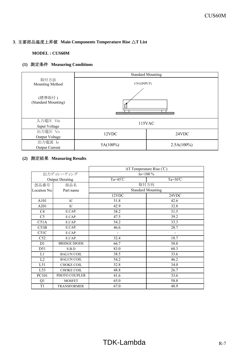## **3**.主要部品温度上昇値 **Main Components Temperature Rise** △**T List**

## **MODEL : CUS60M**

## **(1)** 測定条件 **Measuring Conditions**

|                                  | <b>Standard Mounting</b> |               |  |
|----------------------------------|--------------------------|---------------|--|
| 取付方法<br>Mounting Method          |                          | CN1(INPUT)    |  |
| (標準取付)<br>(Standard Mounting)    |                          |               |  |
| 入力電圧 Vin<br>Input Voltage        | 115VAC                   |               |  |
| 出力電圧 Vo<br>Output Voltage        | 12VDC                    | 24VDC         |  |
| 出力電流 Io<br><b>Output Current</b> | $5A(100\%)$              | $2.5A(100\%)$ |  |

## **(2)** 測定結果 **Measuring Results**

|                |                        | $\Delta T$ Temperature Rise (°C) |                    |
|----------------|------------------------|----------------------------------|--------------------|
| 出力ディレーティング     |                        | Io= $100\%$                      |                    |
|                | <b>Output Derating</b> | Ta= $45^{\circ}$ C               | Ta= $50^{\circ}$ C |
| 部品番号           | 部品名                    | 取付方向                             |                    |
| Location No.   | Part name              | <b>Standard Mounting</b>         |                    |
|                |                        | 12VDC                            | 24VDC              |
| A101           | IC                     | 51.8                             | 42.6               |
| A201           | $\rm{IC}$              | 42.9                             | 32.8               |
| C4             | E.CAP.                 | 38.2                             | 31.5               |
| C <sub>5</sub> | E.CAP.                 | 47.5                             | 39.2               |
| C51A           | E.CAP.                 | 54.2                             | 33.3               |
| C51B           | E.CAP.                 | 46.6                             | 28.7               |
| C51C           | E.CAP.                 |                                  |                    |
| C52            | E.CAP.                 | 32.4                             | 18.7               |
| D1             | <b>BRIDGE DIODE</b>    | 66.7                             | 58.8               |
| D51            | S.B.D                  | 83.0                             | 60.3               |
| L1             | <b>BALUN COIL</b>      | 38.5                             | 33.6               |
| L2             | <b>BALUN COIL</b>      | 54.2                             | 46.2               |
| L51            | <b>CHOKE COIL</b>      | 52.8                             | 34.0               |
| L53            | CHOKE COIL             | 48.8                             | 26.7               |
| PC101          | PHOTO COUPLER          | 41.6                             | 33.6               |
| Q1             | <b>MOSFET</b>          | 65.0                             | 58.8               |
| T1             | <b>TRANSFORMER</b>     | 67.0                             | 48.9               |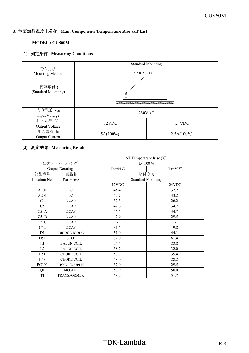## **3**.主要部品温度上昇値 **Main Components Temperature Rise** △**T List**

## **MODEL : CUS60M**

## **(1)** 測定条件 **Measuring Conditions**

|                                  |             | <b>Standard Mounting</b> |
|----------------------------------|-------------|--------------------------|
| 取付方法<br>Mounting Method          | CN1(INPUT)  |                          |
| (標準取付)<br>(Standard Mounting)    |             |                          |
| 入力電圧 Vin<br>Input Voltage        |             | 230VAC                   |
| 出力電圧 Vo<br>Output Voltage        | 12VDC       | 24VDC                    |
| 出力電流 Io<br><b>Output Current</b> | $5A(100\%)$ | $2.5A(100\%)$            |

## **(2)** 測定結果 **Measuring Results**

|                |                        | $\Delta T$ Temperature Rise (°C) |                    |
|----------------|------------------------|----------------------------------|--------------------|
|                | 出力ディレーティング             | $Io=100\%$                       |                    |
|                | <b>Output Derating</b> | Ta= $45^{\circ}$ C               | Ta= $50^{\circ}$ C |
| 部品番号           | 部品名                    | 取付方向                             |                    |
| Location No.   | Part name              | <b>Standard Mounting</b>         |                    |
|                |                        | 12VDC                            | 24VDC              |
| A101           | IC                     | 45.4                             | 37.2               |
| A201           | $\rm{IC}$              | 42.7                             | 33.2               |
| C4             | E.CAP.                 | 32.3                             | 26.2               |
| C <sub>5</sub> | E.CAP.                 | 42.6                             | 34.7               |
| C51A           | E.CAP.                 | 56.6                             | 34.7               |
| C51B           | E.CAP.                 | 47.9                             | 29.5               |
| C51C           | E.CAP.                 |                                  |                    |
| C52            | E.CAP.                 | 31.6                             | 19.8               |
| D1             | <b>BRIDGE DIODE</b>    | 51.0                             | 44.1               |
| D51            | S.B.D                  | 82.0                             | 61.4               |
| L1             | <b>BALUN COIL</b>      | 25.4                             | 22.8               |
| L2             | <b>BALUN COIL</b>      | 38.2                             | 32.0               |
| L51            | CHOKE COIL             | 53.3                             | 35.4               |
| L53            | CHOKE COIL             | 48.0                             | 28.2               |
| PC101          | PHOTO COUPLER          | 37.0                             | 29.5               |
| Q1             | <b>MOSFET</b>          | 56.9                             | 50.0               |
| T1             | <b>TRANSFORMER</b>     | 68.2                             | 51.7               |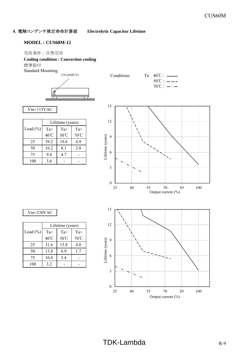## **4**.電解コンデンサ推定寿命計算値 **Electrolytic Capacitor Lifetime**

## **MODEL : CUS60M-12**

## 空冷条件 : 自然空冷

## **Cooling condition : Convection cooling** 標準取付

Standard Mounting

CN1(INPUT)









|              |                | Lifetime (years) |                |
|--------------|----------------|------------------|----------------|
| Load $(\% )$ | $Ta =$         | $Ta =$           | $Ta =$         |
|              | $40^{\circ}$ C | 50°C             | $70^{\circ}$ C |
| 25           | 39.2           | 19.6             | 4.9            |
| 50           | 16.2           | 8.1              | 2.0            |
| 75           | 9.4            | 4.7              |                |
| 100          | 3.6            |                  |                |



## Vin=230VAC

|              |                | Lifetime (years) |        |
|--------------|----------------|------------------|--------|
| Load $(\% )$ | $Ta =$         | $Ta =$           | $Ta =$ |
|              | $40^{\circ}$ C | $50^{\circ}$ C   | 70°C   |
| 25           | 31.6           | 15.8             | 4.0    |
| 50           | 13.8           | 6.9              | 1.7    |
| 75           | 10.8           | 5.4              |        |
| 100          | 3.2            |                  |        |

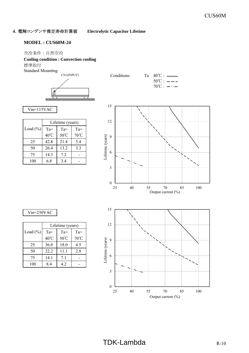## **4**.電解コンデンサ推定寿命計算値 **Electrolytic Capacitor Lifetime**

## **MODEL : CUS60M-24**

## 空冷条件 : 自然空冷

## **Cooling condition : Convection cooling** 標準取付

Standard Mounting

CN1(INPUT)









|              |                | Lifetime (years) |                |
|--------------|----------------|------------------|----------------|
| Load $(\% )$ | $Ta =$         | $Ta =$           | $Ta =$         |
|              | $40^{\circ}$ C | $50^{\circ}$ C   | $70^{\circ}$ C |
| 25           | 42.8           | 21.4             | 5.4            |
| 50           | 26.4           | 13.2             | 3.3            |
| 75           | 14.3           | 72               |                |
| 100          | 6.8            | 3.4              |                |



25 40 55 70 85 100

Output current (%)

## Vin=230VAC

|              |                | Lifetime (years) |                |
|--------------|----------------|------------------|----------------|
| Load $(\% )$ | $Ta =$         | $Ta =$           | $Ta =$         |
|              | $40^{\circ}$ C | 50°C             | $70^{\circ}$ C |
| 25           | 36.0           | 18.0             | 4.5            |
| 50           | 22.2           | 11.1             | 2.8            |
| 75           | 14.1           | 7.1              |                |
| 100          | 84             | 42               |                |

0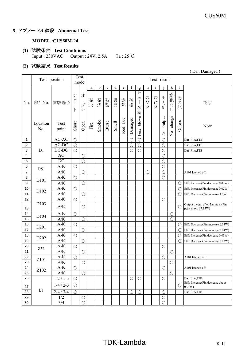## **5**.アブノーマル試験 **Abnormal Test**

## **MODEL :CUS60M-24**

## **(1)** 試験条件 **Test Conditions** Input : 230VAC Output : 24V, 2.5A Ta : 25℃

## **(2)** 試験結果 **Test Results**

|                           |                  | Test position           |                         | Test<br>mode                       |             |        |             |       |         |            |                                                                                                      |                                     | Test result                            |                         |                                |                         |                                                        |
|---------------------------|------------------|-------------------------|-------------------------|------------------------------------|-------------|--------|-------------|-------|---------|------------|------------------------------------------------------------------------------------------------------|-------------------------------------|----------------------------------------|-------------------------|--------------------------------|-------------------------|--------------------------------------------------------|
|                           |                  |                         |                         |                                    | a           | b      | $\mathbf c$ | d     | e       | f          | g                                                                                                    | h                                   | $\mathbf{1}$                           |                         | $\mathbf k$                    |                         |                                                        |
| No.                       | 部品No.            | 試験端子                    | $\ddot{\vee}$<br>目<br>F | 才<br>プ<br>$\overline{\mathscr{S}}$ | 発<br>火      | 発<br>煙 | 破<br>裂      | 異臭    | 赤<br>熱  | 破<br>損     | ヒ<br>$\ensuremath{\mathrel{\mathop{\mathbf{I}}}}$<br>$\begin{array}{c} \hline \end{array}$<br>ズ<br>断 | $\circ$<br>$\bar{V}$<br>$\mathbf P$ | $\bigcirc$<br>$\mathcal{C}$<br>$\rm P$ | 出<br>力<br>断             | 変<br>化<br>$\vec{z}$<br>U       | そ<br>$\mathcal{O}$<br>他 | 記事                                                     |
|                           | Location<br>No.  | Test<br>point           | Short                   | Open                               | $\rm{Fire}$ | Smoke  | Burst       | Smell | Red hot | Damaged    | blown<br>Fuse                                                                                        |                                     |                                        | output<br>$\frac{1}{2}$ | change<br>$\tilde{\mathsf{z}}$ | Others                  | Note                                                   |
| 1                         |                  | AC-AC                   | $\bigcirc$              |                                    |             |        |             |       |         | $\bigcirc$ | $\bigcirc$                                                                                           |                                     |                                        | $\bigcirc$              |                                |                         | Da: F1A,F1B                                            |
| 2                         |                  | $AC-DC$                 | $\bigcirc$              |                                    |             |        |             |       |         | $\bigcirc$ | $\bigcirc$                                                                                           |                                     |                                        | $\bigcirc$              |                                |                         | Da: F1A,F1B                                            |
| $\ensuremath{\mathsf{3}}$ | D1               | DC-DC                   | $\bigcirc$              |                                    |             |        |             |       |         | $\bigcirc$ | $\bigcirc$                                                                                           |                                     |                                        | $\bigcirc$              |                                |                         | Da: F1A,F1B                                            |
| 4                         |                  | AC                      |                         | $\bigcirc$                         |             |        |             |       |         |            |                                                                                                      |                                     |                                        | $\bigcirc$              |                                |                         |                                                        |
| 5                         |                  | $\overline{DC}$         |                         | $\bigcirc$                         |             |        |             |       |         |            |                                                                                                      |                                     |                                        | $\bigcirc$              |                                |                         |                                                        |
| 6                         | D51              | $A-K$                   | $\bigcirc$              |                                    |             |        |             |       |         |            |                                                                                                      |                                     |                                        | $\bigcirc$              |                                |                         |                                                        |
| 7                         |                  | A/K                     |                         | $\bigcirc$                         |             |        |             |       |         |            |                                                                                                      | $\bigcirc$                          |                                        | $\bigcirc$              |                                |                         | A101 latched off                                       |
| 8                         |                  | $A-K$                   | $\bigcirc$              |                                    |             |        |             |       |         |            |                                                                                                      |                                     |                                        | $\bigcirc$              |                                |                         |                                                        |
| 9                         | D101             | A/K                     |                         | $\bigcirc$                         |             |        |             |       |         |            |                                                                                                      |                                     |                                        |                         |                                | $\bigcirc$              | Effi. Increase(Pin decrease 0.01W)                     |
| 10                        |                  | $A-K$                   | $\overline{O}$          |                                    |             |        |             |       |         |            |                                                                                                      |                                     |                                        |                         |                                | $\bigcirc$              | Effi. Increase(Pin decrease 0.02W)                     |
| 11                        | D102             | A/K                     |                         | $\bigcirc$                         |             |        |             |       |         |            |                                                                                                      |                                     |                                        |                         |                                | $\bigcirc$              | Effi. Decrease(Pin increase 4.3W)                      |
| 12                        |                  | $A-K$                   | $\bigcirc$              |                                    |             |        |             |       |         |            |                                                                                                      |                                     |                                        | $\bigcirc$              |                                |                         |                                                        |
| 13                        | D <sub>103</sub> | A/K                     |                         | $\bigcirc$                         |             |        |             |       |         |            |                                                                                                      |                                     |                                        |                         |                                | O                       | Output hiccup after 2 minuts (Pin<br>peak max: 67.15W) |
| 14                        | D104             | $A-K$                   | $\overline{O}$          |                                    |             |        |             |       |         |            |                                                                                                      |                                     |                                        |                         | $\bigcirc$                     |                         |                                                        |
| 15                        |                  | $\mathbf{A}/\mathbf{K}$ |                         | $\bigcirc$                         |             |        |             |       |         |            |                                                                                                      |                                     |                                        |                         | $\bigcirc$                     |                         |                                                        |
| 16                        | D <sub>201</sub> | $A-K$                   | $\bigcirc$              |                                    |             |        |             |       |         |            |                                                                                                      |                                     |                                        |                         |                                | O                       | Effi. Decrease(Pin increase 0.03W)                     |
| 17                        |                  | A/K                     |                         | $\bigcirc$                         |             |        |             |       |         |            |                                                                                                      |                                     |                                        |                         |                                | $\bigcirc$              | Effi. Decrease(Pin increase 0.04W)                     |
| 18                        |                  | $A-K$                   | $\bigcirc$              |                                    |             |        |             |       |         |            |                                                                                                      |                                     |                                        |                         |                                | $\bigcirc$              | Effi. Increase(Pin decrease 0.03W)                     |
| 19                        | D <sub>202</sub> | A/K                     |                         | $\bigcirc$                         |             |        |             |       |         |            |                                                                                                      |                                     |                                        |                         |                                | $\bigcirc$              | Effi. Decrease(Pin increase 0.02W)                     |
| 20                        |                  | $A-K$                   | $\overline{O}$          |                                    |             |        |             |       |         |            |                                                                                                      |                                     |                                        | $\bigcirc$              |                                |                         |                                                        |
| 21                        | Z51              | A/K                     |                         | $\bigcirc$                         |             |        |             |       |         |            |                                                                                                      |                                     |                                        |                         | O                              |                         |                                                        |
| 22                        |                  | $A-K$                   | $\overline{O}$          |                                    |             |        |             |       |         |            |                                                                                                      |                                     |                                        | $\bigcirc$              |                                |                         | A101 latched off                                       |
| 23                        | Z101             | A/K                     |                         | $\bigcirc$                         |             |        |             |       |         |            |                                                                                                      |                                     |                                        |                         | O                              |                         |                                                        |
| 24                        |                  | $A-K$                   | $\bigcirc$              |                                    |             |        |             |       |         |            |                                                                                                      |                                     |                                        | $\bigcirc$              |                                |                         | A101 latched off                                       |
| 25                        | Z102             | A/K                     |                         | $\bigcirc$                         |             |        |             |       |         |            |                                                                                                      |                                     |                                        |                         | $\bigcirc$                     |                         |                                                        |
| 26                        |                  | $1 - 2 / 1 - 3$         | $\bigcirc$              |                                    |             |        |             |       |         | $\bigcirc$ | $\bigcirc$                                                                                           |                                     |                                        | $\bigcirc$              |                                |                         | Da: F1A,F1B                                            |
| 27                        |                  | $1-4/2-3$               | $\bigcirc$              |                                    |             |        |             |       |         |            |                                                                                                      |                                     |                                        |                         |                                | О                       | Effi. Increase(Pin decrease about<br>$0.01W$ )         |
| 28                        | L1               | $2-4/3-4$               | $\bigcirc$              |                                    |             |        |             |       |         | $\bigcirc$ | $\bigcirc$                                                                                           |                                     |                                        | $\bigcirc$              |                                |                         | Da: F1A,F1B                                            |
| 29                        |                  | 1/2                     |                         | $\bigcirc$                         |             |        |             |       |         |            |                                                                                                      |                                     |                                        | $\bigcirc$              |                                |                         |                                                        |
| 30                        |                  | 3/4                     |                         | $\bigcirc$                         |             |        |             |       |         |            |                                                                                                      |                                     |                                        | $\bigcirc$              |                                |                         |                                                        |

( Da : Damaged )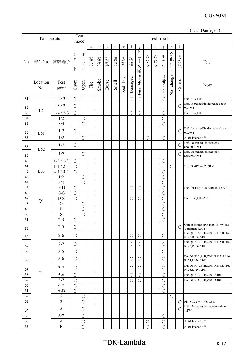|          |                 |                             |                                                                                                                                        |                                     |        |       |       |       |         |            |                                           |                                                     |                                             |                                   |                                                                                                                                                                                                      |                         | (Da: Damaged)                                           |
|----------|-----------------|-----------------------------|----------------------------------------------------------------------------------------------------------------------------------------|-------------------------------------|--------|-------|-------|-------|---------|------------|-------------------------------------------|-----------------------------------------------------|---------------------------------------------|-----------------------------------|------------------------------------------------------------------------------------------------------------------------------------------------------------------------------------------------------|-------------------------|---------------------------------------------------------|
|          |                 | Test position               | Test<br>Test result<br>mode<br>$\mathbf f$<br>d<br>k<br>b<br>$\mathbf c$<br>e<br>$\mathbf{l}$<br>a<br>$\mathbf h$<br>g<br>$\mathbf{1}$ |                                     |        |       |       |       |         |            |                                           |                                                     |                                             |                                   |                                                                                                                                                                                                      |                         |                                                         |
|          |                 |                             |                                                                                                                                        |                                     |        |       |       |       |         |            |                                           |                                                     |                                             |                                   |                                                                                                                                                                                                      |                         |                                                         |
| No.      | 部品No.           | 試験端子                        | シ<br>$\exists$<br>$\vdash$                                                                                                             | オー<br>プ<br>$\overline{\mathscr{S}}$ | 発<br>火 | 発煙    | 破裂    | 異臭    | 赤<br>熱  | 破<br>損     | ヒ<br>$\mathfrak{a}$<br>$\Big\}$<br>ズ<br>断 | $\circ$<br>$\boldsymbol{\mathrm{V}}$<br>$\mathbf P$ | $\bigcirc$<br>$\mathcal{C}$<br>$\mathbf{P}$ | 出<br>力<br>断                       | 変化な<br>し                                                                                                                                                                                             | そ<br>$\mathcal{O}$<br>他 | 記事                                                      |
|          | Location<br>No. | Test<br>point               | Short                                                                                                                                  | Open                                | Fire   | Smoke | Burst | Smell | Red hot | Damaged    | Fuse blown                                |                                                     |                                             | output<br>$\overline{\mathsf{z}}$ | change<br>$\rm \stackrel{\circ}{\rm \stackrel{\circ}{\rm \stackrel{\circ}{\rm \stackrel{\circ}{\rm \stackrel{\circ}{\rm \stackrel{\circ}{\rm \stackrel{\circ}{\rm \stackrel{\circ}{\rm \cdots}}}}}}$ | Others                  | Note                                                    |
| 31       |                 | $\overline{1}$ -2 / 3-4     | $\bigcirc$                                                                                                                             |                                     |        |       |       |       |         | $\bigcirc$ | $\bigcirc$                                |                                                     |                                             | $\bigcirc$                        |                                                                                                                                                                                                      |                         | Da: F1A,F1B                                             |
| 32       |                 | $1-3/2-4$                   | $\bigcirc$                                                                                                                             |                                     |        |       |       |       |         |            |                                           |                                                     |                                             |                                   |                                                                                                                                                                                                      | $\bigcirc$              | Effi. Increase(Pin decrease about<br>0.01W              |
| 33       | L2              | $1-4/2-3$                   | $\bigcirc$                                                                                                                             |                                     |        |       |       |       |         | $\bigcirc$ | $\bigcirc$                                |                                                     |                                             | $\bigcirc$                        |                                                                                                                                                                                                      |                         | Da: F1A,F1B                                             |
| 34       |                 | 1/2                         |                                                                                                                                        | $\bigcirc$                          |        |       |       |       |         |            |                                           |                                                     |                                             | $\bigcirc$                        |                                                                                                                                                                                                      |                         |                                                         |
| 35       |                 | 3/4                         |                                                                                                                                        | $\bigcirc$                          |        |       |       |       |         |            |                                           |                                                     |                                             | $\bigcirc$                        |                                                                                                                                                                                                      |                         |                                                         |
| 36       | L51             | $1 - 2$                     | $\bigcirc$                                                                                                                             |                                     |        |       |       |       |         |            |                                           |                                                     |                                             |                                   |                                                                                                                                                                                                      | $\bigcirc$              | Effi. Increase(Pin decrease about<br>0.05W)             |
| 37       |                 | 1/2                         |                                                                                                                                        | $\bigcirc$                          |        |       |       |       |         |            |                                           | $\bigcirc$                                          |                                             | $\bigcirc$                        |                                                                                                                                                                                                      |                         | A101 latched off                                        |
| 38       |                 | $1 - 2$                     | $\bigcirc$                                                                                                                             |                                     |        |       |       |       |         |            |                                           |                                                     |                                             |                                   |                                                                                                                                                                                                      | $\bigcirc$              | Effi. Decrease(Pin increase<br>about0.01W)              |
| 39       | L52             | 1/2                         |                                                                                                                                        | $\bigcirc$                          |        |       |       |       |         |            |                                           |                                                     |                                             |                                   |                                                                                                                                                                                                      | $\bigcirc$              | Effi. Decrease(Pin increase<br>about0.04W)              |
| 40       |                 | $1 - 2 / 1 - 3$             | $\bigcirc$                                                                                                                             |                                     |        |       |       |       |         |            |                                           |                                                     |                                             | $\bigcirc$                        |                                                                                                                                                                                                      |                         |                                                         |
| 41       |                 | $1-4/2-3$                   | $\bigcirc$                                                                                                                             |                                     |        |       |       |       |         |            |                                           |                                                     |                                             |                                   | $\bigcirc$                                                                                                                                                                                           |                         | Vo: $23.90V \Rightarrow 23.91V$                         |
| 42       | L53             | $2 - 4 / 3 - 4$             | $\bigcirc$                                                                                                                             |                                     |        |       |       |       |         |            |                                           |                                                     |                                             | $\bigcirc$                        |                                                                                                                                                                                                      |                         |                                                         |
| 43       |                 | 1/2                         |                                                                                                                                        | $\bigcirc$                          |        |       |       |       |         |            |                                           |                                                     |                                             | $\bigcirc$                        |                                                                                                                                                                                                      |                         |                                                         |
| 44       |                 | 3/4                         |                                                                                                                                        | $\bigcirc$                          |        |       |       |       |         |            |                                           |                                                     |                                             | $\bigcirc$                        |                                                                                                                                                                                                      |                         |                                                         |
| 45       |                 | $G-D$                       | $\bigcirc$                                                                                                                             |                                     |        |       |       |       |         | $\bigcirc$ | $\bigcirc$                                |                                                     |                                             | $\bigcirc$                        |                                                                                                                                                                                                      |                         | Da: Q1,F1A,F1B,Z101,R115,A101                           |
| 46       |                 | $G-S$                       | $\bigcirc$                                                                                                                             |                                     |        |       |       |       |         |            |                                           |                                                     |                                             | $\bigcirc$                        |                                                                                                                                                                                                      |                         |                                                         |
| 47       | Q1              | $D-S$                       | $\bigcirc$                                                                                                                             |                                     |        |       |       |       |         | $\bigcirc$ | $\bigcirc$                                |                                                     |                                             | $\bigcirc$                        |                                                                                                                                                                                                      |                         | Da: F1A,F1B,Z101                                        |
| 48       |                 | G                           |                                                                                                                                        | $\bigcirc$                          |        |       |       |       |         |            |                                           |                                                     |                                             | $\bigcirc$                        |                                                                                                                                                                                                      |                         |                                                         |
| 49<br>50 |                 | ${\rm D}$<br>$\overline{S}$ |                                                                                                                                        | $\overline{O}$<br>$\bigcirc$        |        |       |       |       |         |            |                                           |                                                     |                                             | $\bigcirc$<br>$\bigcirc$          |                                                                                                                                                                                                      |                         |                                                         |
| 51       |                 | $2 - 3$                     | $\bigcirc$                                                                                                                             |                                     |        |       |       |       |         |            |                                           |                                                     |                                             | $\bigcirc$                        |                                                                                                                                                                                                      |                         |                                                         |
| 52       |                 | $2 - 5$                     | $\bigcirc$                                                                                                                             |                                     |        |       |       |       |         |            |                                           |                                                     |                                             |                                   |                                                                                                                                                                                                      | $\bigcirc$              | Output hiccup (Pin max 19.7W and<br>Vout max 3.0V)      |
| 53       |                 | $2 - 6$                     | $\bigcirc$                                                                                                                             |                                     |        |       |       |       |         | $\bigcirc$ | $\bigcirc$                                |                                                     |                                             | $\bigcirc$                        |                                                                                                                                                                                                      |                         | Da: Q1, F1A, F1B, Z101, R115, R116,<br>R123, R126, A101 |
| 54       |                 | $2 - 7$                     | $\bigcirc$                                                                                                                             |                                     |        |       |       |       |         | $\bigcirc$ | $\bigcirc$                                |                                                     |                                             | $\bigcirc$                        |                                                                                                                                                                                                      |                         | Da: Q1,F1A,F1B,Z101,R115,R116,<br>R123, R126, A101      |
| 55       |                 | $3 - 5$                     | $\bigcirc$                                                                                                                             |                                     |        |       |       |       |         |            |                                           |                                                     |                                             | $\bigcirc$                        |                                                                                                                                                                                                      |                         |                                                         |
| 56       |                 | $3 - 6$                     | $\bigcirc$                                                                                                                             |                                     |        |       |       |       |         | $\bigcirc$ | $\bigcirc$                                |                                                     |                                             | $\bigcirc$                        |                                                                                                                                                                                                      |                         | Da: Q1,F1A,F1B,Z101,R115, R116,<br>R123, R126, A101     |
| 57       |                 | $3 - 7$                     | $\bigcirc$                                                                                                                             |                                     |        |       |       |       |         | $\bigcirc$ | $\bigcirc$                                |                                                     |                                             | $\bigcirc$                        |                                                                                                                                                                                                      |                         | Da: Q1, F1A, F1B, Z101, R115, R116,<br>R123, R126, A101 |
| 58       | T <sub>1</sub>  | $5-6$                       | $\bigcirc$                                                                                                                             |                                     |        |       |       |       |         | $\bigcirc$ | $\bigcirc$                                |                                                     |                                             | $\bigcirc$                        |                                                                                                                                                                                                      |                         | Da: Q1,F1A,F1B,Z101,A101                                |
| 59       |                 | $5 - 7$                     | $\bigcirc$                                                                                                                             |                                     |        |       |       |       |         | $\bigcirc$ | $\bigcirc$                                |                                                     |                                             | $\bigcirc$                        |                                                                                                                                                                                                      |                         | Da: Q1,F1A,F1B,Z101,A101                                |
| 60       |                 | $6 - 7$                     | $\bigcirc$                                                                                                                             |                                     |        |       |       |       |         |            |                                           |                                                     |                                             | $\bigcirc$                        |                                                                                                                                                                                                      |                         |                                                         |
| 61       |                 | $A-B$                       | $\bigcirc$                                                                                                                             |                                     |        |       |       |       |         |            |                                           |                                                     |                                             | $\bigcirc$                        |                                                                                                                                                                                                      |                         |                                                         |
| 62       |                 | $\overline{2}$              |                                                                                                                                        | $\bigcirc$                          |        |       |       |       |         |            |                                           |                                                     |                                             |                                   | $\bigcirc$                                                                                                                                                                                           |                         |                                                         |
| 63       |                 | $\overline{\mathbf{3}}$     |                                                                                                                                        | $\bigcirc$                          |        |       |       |       |         |            |                                           |                                                     |                                             |                                   |                                                                                                                                                                                                      | $\bigcirc$              | Pin: $66.22W \approx 67.23W$                            |
| 64       |                 | 5                           |                                                                                                                                        | $\bigcirc$                          |        |       |       |       |         |            |                                           |                                                     |                                             |                                   |                                                                                                                                                                                                      | $\bigcirc$              | Effi. Decrease(Pin increase about<br>1.2W               |
| 65       |                 | 6/7                         |                                                                                                                                        | $\bigcirc$                          |        |       |       |       |         |            |                                           |                                                     |                                             | $\bigcirc$                        |                                                                                                                                                                                                      |                         |                                                         |
| 66       |                 | A                           |                                                                                                                                        | $\bigcirc$                          |        |       |       |       |         |            |                                           | $\bigcirc$                                          |                                             | $\bigcirc$                        |                                                                                                                                                                                                      |                         | A101 latched off                                        |
| 67       |                 | $\, {\bf B}$                |                                                                                                                                        | $\bigcirc$                          |        |       |       |       |         |            |                                           | ∩                                                   |                                             | $\bigcirc$                        |                                                                                                                                                                                                      |                         | A101 latched off                                        |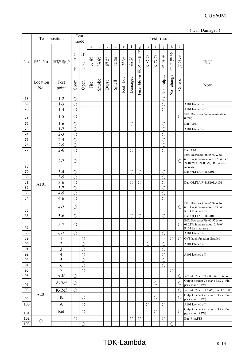|            |                 |                         |                                                                                                               |                                     |        |       |              |              |         |            |                               |                                                      |                                     |                                   |                                   |                         | (Da: Damaged)                                                                                                  |
|------------|-----------------|-------------------------|---------------------------------------------------------------------------------------------------------------|-------------------------------------|--------|-------|--------------|--------------|---------|------------|-------------------------------|------------------------------------------------------|-------------------------------------|-----------------------------------|-----------------------------------|-------------------------|----------------------------------------------------------------------------------------------------------------|
|            |                 | Test position           | Test<br>Test result<br>mode<br>f<br>d<br>b<br>e<br>$\bf k$<br>$\mathbf c$<br>a<br>g<br>h<br>$\mathbf{I}$<br>1 |                                     |        |       |              |              |         |            |                               |                                                      |                                     |                                   |                                   |                         |                                                                                                                |
|            |                 |                         |                                                                                                               |                                     |        |       |              |              |         |            |                               |                                                      |                                     |                                   |                                   |                         |                                                                                                                |
| No.        | 部品No.           | 試験端子                    | $\ddot{\checkmark}$<br>ヨ<br>$\vdash$                                                                          | オー<br>プ<br>$\overline{\mathscr{S}}$ | 発<br>火 | 発煙    | 破裂           | 異臭           | 赤<br>熱  | 破<br>損     | ヒ<br>$\mathfrak{a}$<br>ズ<br>断 | $\bigcirc$<br>$\overline{\mathrm{V}}$<br>$\mathbf P$ | $\circ$<br>$\mathcal{C}$<br>$\rm P$ | 出<br>力<br>断                       | 変化な                               | そ<br>$\mathcal{O}$<br>他 | 記事                                                                                                             |
|            | Location<br>No. | Test<br>point           | Short                                                                                                         | Open                                | Fire   | Smoke | <b>Burst</b> | <b>Smell</b> | Red hot | Damaged    | blown<br>Fuse                 |                                                      |                                     | output<br>$\overline{\mathsf{z}}$ | change<br>$\overline{\mathsf{S}}$ | Others                  | Note                                                                                                           |
| 68         |                 | $1 - 2$                 | $\bigcirc$                                                                                                    |                                     |        |       |              |              |         |            |                               |                                                      |                                     | $\bigcirc$                        |                                   |                         |                                                                                                                |
| 69         |                 | $1 - 3$                 | $\bigcirc$                                                                                                    |                                     |        |       |              |              |         |            |                               |                                                      |                                     | $\bigcirc$                        |                                   |                         | A101 latched off                                                                                               |
| 70         |                 | $1 - 4$                 | $\bigcirc$                                                                                                    |                                     |        |       |              |              |         |            |                               |                                                      |                                     | $\bigcirc$                        |                                   |                         | A101 latched off                                                                                               |
| 71         |                 | $1 - 5$                 | O                                                                                                             |                                     |        |       |              |              |         |            |                               |                                                      |                                     |                                   |                                   | $\bigcirc$              | Effi. Decrease(Pin increase about<br>0.6W                                                                      |
| 72         |                 | $1-6$                   | $\bigcirc$                                                                                                    |                                     |        |       |              |              |         | $\bigcirc$ |                               |                                                      |                                     | $\bigcirc$                        |                                   |                         | Da: A101                                                                                                       |
| 73         |                 | $1 - 7$                 | $\bigcirc$                                                                                                    |                                     |        |       |              |              |         |            |                               |                                                      |                                     | $\bigcirc$                        |                                   |                         | A101 latched off                                                                                               |
| 74         |                 | $2 - 3$                 | $\bigcirc$                                                                                                    |                                     |        |       |              |              |         |            |                               |                                                      |                                     | $\bigcirc$                        |                                   |                         |                                                                                                                |
| 75         |                 | $2 - 4$                 | $\bigcirc$                                                                                                    |                                     |        |       |              |              |         |            |                               |                                                      |                                     | $\bigcirc$                        |                                   |                         |                                                                                                                |
| 76         |                 | $2 - 5$                 | $\bigcirc$                                                                                                    |                                     |        |       |              |              |         |            |                               |                                                      |                                     | $\bigcirc$                        |                                   |                         |                                                                                                                |
| 77         |                 | $2 - 6$                 | $\bigcirc$                                                                                                    |                                     |        |       |              |              |         | ∩          |                               |                                                      |                                     | $\bigcirc$                        |                                   |                         | Da: A101                                                                                                       |
| 78         |                 | $2 - 7$                 | $\bigcirc$                                                                                                    |                                     |        |       |              |              |         |            |                               |                                                      |                                     |                                   |                                   | $\bigcirc$              | Effi. Decrease(Pin 65.92W to<br>69.13W, increase about 3.21W; Vo<br>24.047V to 24.085V); R104 loss<br>increase |
| 79         |                 | $3 - 4$                 | $\bigcirc$                                                                                                    |                                     |        |       |              |              |         | $\bigcirc$ | $\bigcirc$                    |                                                      |                                     | $\bigcirc$                        |                                   |                         | Da: Q1,F1A,F1B,Z101                                                                                            |
| 80         |                 | $3 - 5$                 | $\bigcirc$                                                                                                    |                                     |        |       |              |              |         |            |                               |                                                      |                                     | $\bigcirc$                        |                                   |                         |                                                                                                                |
| 81         | A101            | $3 - 6$                 | $\bigcirc$                                                                                                    |                                     |        |       |              |              |         | $\bigcirc$ | $\bigcirc$                    |                                                      |                                     | $\bigcirc$                        |                                   |                         | Da: Q1,F1A,F1B,Z101,A101                                                                                       |
| 82         |                 | $3 - 7$                 | $\bigcirc$                                                                                                    |                                     |        |       |              |              |         |            |                               |                                                      |                                     | $\bigcirc$                        |                                   |                         |                                                                                                                |
| 83         |                 | $4 - 5$                 | $\bigcirc$                                                                                                    |                                     |        |       |              |              |         |            |                               |                                                      |                                     | $\bigcirc$                        |                                   |                         |                                                                                                                |
| 84         |                 | $4 - 6$                 | $\bigcirc$                                                                                                    |                                     |        |       |              |              |         |            |                               |                                                      |                                     | $\bigcirc$                        |                                   |                         |                                                                                                                |
| 85         |                 | $4 - 7$                 | О                                                                                                             |                                     |        |       |              |              |         |            |                               |                                                      |                                     |                                   |                                   | $\left(\right)$         | Effi. Decrease(Pin 65.92W to<br>68.11W, increase about 2.91W;<br>R104 loss increase                            |
| 86         |                 | $5 - 6$                 | $\bigcirc$                                                                                                    |                                     |        |       |              |              |         | $\bigcirc$ | $\bigcirc$                    |                                                      |                                     | $\bigcirc$                        |                                   |                         | Da: Q1,F1A,F1B,Z101                                                                                            |
| 87         |                 | $5 - 7$                 | O                                                                                                             |                                     |        |       |              |              |         |            |                               |                                                      |                                     |                                   |                                   | $\circ$                 | Effi. Decrease(Pin 65.92W to<br>68.21W, increase about 2.96W;<br>R104 loss increase                            |
| 88         |                 | $6 - 7$                 | $\bigcirc$                                                                                                    |                                     |        |       |              |              |         |            |                               |                                                      |                                     | $\bigcirc$                        |                                   |                         | A101 latched off                                                                                               |
| 89         |                 | 1                       |                                                                                                               | $\bigcirc$                          |        |       |              |              |         |            |                               |                                                      |                                     |                                   | $\bigcirc$                        | $\bigcirc$              | OVP latch function disabled                                                                                    |
| 90         |                 | $\overline{2}$          |                                                                                                               | $\bigcirc$                          |        |       |              |              |         |            |                               | $\bigcirc$                                           |                                     | $\bigcirc$                        |                                   |                         | A101 latched off                                                                                               |
| 91         |                 | $\overline{\mathbf{3}}$ |                                                                                                               | $\bigcirc$                          |        |       |              |              |         |            |                               |                                                      |                                     | $\bigcirc$                        |                                   |                         |                                                                                                                |
| 92         |                 | $\overline{4}$          |                                                                                                               | $\bigcirc$                          |        |       |              |              |         |            |                               |                                                      |                                     | $\bigcirc$                        |                                   |                         | A101 latched off                                                                                               |
| 93         |                 | 5                       |                                                                                                               | $\bigcirc$                          |        |       |              |              |         |            |                               |                                                      |                                     | $\bigcirc$                        |                                   |                         |                                                                                                                |
| 94<br>95   |                 | 6<br>$\overline{7}$     |                                                                                                               | $\bigcirc$                          |        |       |              |              |         |            |                               |                                                      |                                     | $\bigcirc$                        |                                   |                         |                                                                                                                |
| 96         |                 | $A-K$                   | $\bigcirc$                                                                                                    | $\bigcirc$                          |        |       |              |              |         |            |                               |                                                      |                                     |                                   | $\bigcirc$                        |                         |                                                                                                                |
|            |                 |                         |                                                                                                               |                                     |        |       |              |              |         |            |                               |                                                      |                                     |                                   |                                   | $\bigcirc$              | Vo: 24.079V = = > 2.8, Pin: 10.63W<br>Output hiccup(Vo max: 33.2V; Pin                                         |
| 97<br>98   |                 | A-Ref<br>K-Ref          | $\bigcirc$                                                                                                    |                                     |        |       |              |              |         |            |                               |                                                      | $\bigcirc$                          |                                   |                                   | $\bigcirc$              | peak max: 91W)<br>Vo: 24.079V = = > 5.4V, Pin: 17.51W                                                          |
|            | A201            |                         | $\bigcirc$                                                                                                    |                                     |        |       |              |              |         |            |                               |                                                      |                                     |                                   |                                   | $\bigcirc$              | Output hiccup(Vo max: 33.2V; Pin                                                                               |
| 99         |                 | K                       |                                                                                                               | $\bigcirc$                          |        |       |              |              |         |            |                               |                                                      | $\bigcirc$                          |                                   |                                   | $\bigcirc$              | peak max: 91W)                                                                                                 |
| 100        |                 | A                       |                                                                                                               | $\bigcirc$                          |        |       |              |              |         |            |                               | $\bigcirc$                                           |                                     | $\bigcirc$                        |                                   |                         | A101 latched off<br>Output hiccup(Vo max: 33.4V; Pin                                                           |
| 101        |                 | Ref                     |                                                                                                               | $\bigcirc$                          |        |       |              |              |         |            |                               |                                                      | $\bigcirc$                          |                                   |                                   | $\bigcirc$              | peak max: 92W)                                                                                                 |
| 102<br>103 | C1              |                         | $\bigcirc$                                                                                                    | $\bigcirc$                          |        |       |              |              |         | $\bigcirc$ | $\bigcirc$                    |                                                      |                                     | $\bigcirc$                        | $\bigcirc$                        |                         | Da: F1A,F1B                                                                                                    |
|            |                 |                         |                                                                                                               |                                     |        |       |              |              |         |            |                               |                                                      |                                     |                                   |                                   |                         |                                                                                                                |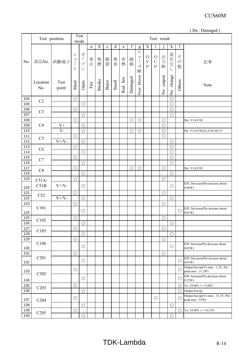|            |                               |               |                                              |                                     |      |             |             |              |         |             |                               |                                                        |                                   |                         |                          |                         | (Da: Damaged)                                       |
|------------|-------------------------------|---------------|----------------------------------------------|-------------------------------------|------|-------------|-------------|--------------|---------|-------------|-------------------------------|--------------------------------------------------------|-----------------------------------|-------------------------|--------------------------|-------------------------|-----------------------------------------------------|
|            |                               | Test position |                                              | Test<br>mode                        |      |             |             |              |         |             |                               |                                                        | Test result                       |                         |                          |                         |                                                     |
|            |                               |               |                                              |                                     | a    | $\mathbf b$ | $\mathbf c$ | d            | e       | $\mathbf f$ | g                             | h                                                      | $\mathbf 1$                       | $\mathbf{1}$            | k                        | $\mathbf{l}$            |                                                     |
| No.        | 部品No.                         | 試験端子          | $\ddot{\checkmark}$<br>$\Xi$<br>$\mathsf{F}$ | オー<br>プ<br>$\overline{\mathscr{S}}$ | 発火   | 発煙          | 破裂          | 異臭           | 赤<br>熱  | 破<br>損      | ヒ<br>$\mathfrak{a}$<br>ズ<br>断 | $\circ$<br>$\boldsymbol{\mathrm{V}}$<br>$\overline{P}$ | $\circ$<br>$\mathbf C$<br>$\rm P$ | 出<br>力<br>断             | 変化な                      | そ<br>$\mathcal{O}$<br>他 | 記事                                                  |
|            | Location<br>No.               | Test<br>point | Short                                        | Open                                | Fire | Smoke       | Burst       | <b>Smell</b> | Red hot | Damaged     | Fuse blown                    |                                                        |                                   | output<br>$\frac{1}{2}$ | change<br>$\overline{S}$ | Others                  | Note                                                |
| 104        | C2                            |               | $\bigcirc$                                   |                                     |      |             |             |              |         |             |                               |                                                        |                                   |                         | $\bigcirc$               |                         |                                                     |
| 105        |                               |               |                                              | $\bigcirc$                          |      |             |             |              |         |             |                               |                                                        |                                   |                         | $\bigcirc$               |                         |                                                     |
| 106        | C <sub>3</sub>                |               | $\bigcirc$                                   |                                     |      |             |             |              |         |             |                               |                                                        |                                   |                         | $\bigcirc$               |                         |                                                     |
| 107        |                               |               |                                              | $\bigcirc$                          |      |             |             |              |         |             |                               |                                                        |                                   |                         | $\bigcirc$               |                         |                                                     |
| 108        |                               |               | $\bigcirc$                                   |                                     |      |             |             |              |         | $\bigcirc$  | $\bigcirc$                    |                                                        |                                   | $\bigcirc$              |                          |                         | Da: F1A,F1B                                         |
| 109        | C4                            | $V +$         |                                              | $\bigcirc$                          |      |             |             |              |         |             |                               |                                                        |                                   | $\bigcirc$              |                          |                         |                                                     |
| 110        |                               | $V -$         |                                              | $\bigcirc$                          |      |             |             |              |         | $\bigcirc$  | $\bigcirc$                    |                                                        |                                   | $\bigcirc$              |                          |                         | Da: F1A,F1B,Q1,Z101,R115                            |
| 111        | C <sub>5</sub>                |               | $\bigcirc$                                   |                                     |      |             |             |              |         |             |                               |                                                        |                                   | $\bigcirc$              |                          |                         |                                                     |
| 112        |                               | $V + / V -$   |                                              | $\bigcirc$                          |      |             |             |              |         |             |                               |                                                        |                                   |                         | $\bigcirc$               |                         |                                                     |
| 113        | C6                            |               | $\bigcirc$                                   |                                     |      |             |             |              |         |             |                               |                                                        |                                   |                         | $\bigcirc$               |                         |                                                     |
| 114        |                               |               |                                              | $\bigcirc$                          |      |             |             |              |         |             |                               |                                                        |                                   |                         | $\bigcirc$               |                         |                                                     |
| 115<br>116 | C7                            |               | $\bigcirc$                                   |                                     |      |             |             |              |         |             |                               |                                                        |                                   |                         | $\bigcirc$               |                         |                                                     |
| 117        |                               |               |                                              | $\bigcirc$                          |      |             |             |              |         |             |                               |                                                        |                                   |                         | $\bigcirc$               |                         |                                                     |
| 118        | C8                            |               | $\bigcirc$                                   | $\bigcirc$                          |      |             |             |              |         | $\bigcirc$  | $\bigcirc$                    |                                                        |                                   | $\bigcirc$              | $\bigcirc$               |                         | Da: F1A,F1B                                         |
| 119        |                               |               | $\bigcirc$                                   |                                     |      |             |             |              |         |             |                               |                                                        |                                   | $\bigcirc$              |                          |                         |                                                     |
| 120        | C51A/<br>C51B                 | $V + / V -$   |                                              | $\bigcirc$                          |      |             |             |              |         |             |                               |                                                        |                                   |                         | $\bigcirc$               |                         | Effi. Decrease(Pin increase about<br>0.06W          |
| 121        |                               |               | $\bigcirc$                                   |                                     |      |             |             |              |         |             |                               |                                                        |                                   | $\bigcirc$              |                          |                         |                                                     |
| 122        | C52                           | $V + / V -$   |                                              | $\bigcirc$                          |      |             |             |              |         |             |                               |                                                        |                                   |                         | $\bigcirc$               |                         |                                                     |
| 123        |                               |               | $\bigcirc$                                   |                                     |      |             |             |              |         |             |                               |                                                        |                                   | $\bigcirc$              |                          |                         |                                                     |
| 124        | C101                          |               |                                              | $\bigcirc$                          |      |             |             |              |         |             |                               |                                                        |                                   |                         |                          | $\bigcirc$              | Effi. Decrease(Pin increase about<br>0.01W)         |
| 125        | C102                          |               | $\bigcirc$                                   |                                     |      |             |             |              |         |             |                               |                                                        |                                   | $\bigcirc$              |                          |                         |                                                     |
| 126        |                               |               |                                              | $\bigcirc$                          |      |             |             |              |         |             |                               |                                                        |                                   |                         | $\bigcirc$               |                         |                                                     |
| 127        | C105                          |               | $\bigcirc$                                   |                                     |      |             |             |              |         |             |                               |                                                        |                                   | $\bigcirc$              |                          |                         |                                                     |
| 128        |                               |               |                                              | $\bigcirc$                          |      |             |             |              |         |             |                               |                                                        |                                   |                         | $\bigcirc$               |                         |                                                     |
| 129        | C106                          |               | $\bigcirc$                                   |                                     |      |             |             |              |         |             |                               |                                                        |                                   | $\bigcirc$              |                          |                         |                                                     |
| 130        |                               |               |                                              | $\bigcirc$                          |      |             |             |              |         |             |                               |                                                        |                                   |                         | $\bigcirc$               |                         | Effi. Increase(Pin decrease about<br>0.02W          |
| 131        |                               |               | $\bigcirc$                                   |                                     |      |             |             |              |         |             |                               |                                                        |                                   | $\bigcirc$              |                          |                         |                                                     |
| 132        | C <sub>201</sub>              |               |                                              | $\bigcirc$                          |      |             |             |              |         |             |                               |                                                        |                                   |                         |                          | $\bigcirc$              | Effi. Decrease(Pin increase about<br>0.01W          |
| 133        | C <sub>2</sub> 0 <sub>2</sub> |               | $\bigcirc$                                   |                                     |      |             |             |              |         |             |                               |                                                        |                                   |                         |                          | $\bigcirc$              | Output hiccup(Vo max: 1.2V, Pin<br>peak max: 21.2W) |
| 134        |                               |               |                                              | $\bigcirc$                          |      |             |             |              |         |             |                               |                                                        |                                   |                         |                          | $\bigcirc$              | Effi. Increase(Pin decrease about<br>0.22W          |
| 135        | C203                          |               | $\bigcirc$                                   |                                     |      |             |             |              |         |             |                               |                                                        |                                   |                         |                          | $\bigcirc$              | Vo: $24.00V = > 5.09V$                              |
| 136        |                               |               |                                              | $\bigcirc$                          |      |             |             |              |         |             |                               |                                                        |                                   |                         |                          | $\bigcirc$              | Output hiccup                                       |
| 137        | C <sub>204</sub>              |               | $\bigcirc$                                   |                                     |      |             |             |              |         |             |                               |                                                        | $\bigcirc$                        |                         |                          | $\bigcirc$              | Output hiccup(Vo max: 33.2V; Pin<br>peak max: 91W)  |
| 138        |                               |               |                                              | $\bigcirc$                          |      |             |             |              |         |             |                               |                                                        |                                   |                         | $\bigcirc$               |                         |                                                     |
| 139<br>140 | C <sub>205</sub>              |               | $\bigcirc$                                   | $\bigcirc$                          |      |             |             |              |         |             |                               |                                                        |                                   |                         | $\bigcirc$               | $\bigcirc$              | Vo: $24.00V = > 14.33V$                             |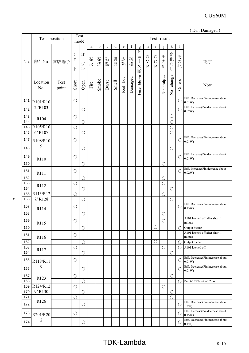|            |                       |               |                                                                  |                                                         |        |       |              |       |         |             |                                                        |                                                   |                                            |                         |                                          |                         | (Da: Damaged)                                  |
|------------|-----------------------|---------------|------------------------------------------------------------------|---------------------------------------------------------|--------|-------|--------------|-------|---------|-------------|--------------------------------------------------------|---------------------------------------------------|--------------------------------------------|-------------------------|------------------------------------------|-------------------------|------------------------------------------------|
|            |                       | Test position |                                                                  | Test<br>mode                                            |        |       |              |       |         |             |                                                        |                                                   | Test result                                |                         |                                          |                         |                                                |
|            |                       |               |                                                                  |                                                         | a      | b     | $\mathbf c$  | d     | e       | $\mathbf f$ | g                                                      | h                                                 | $\mathbf 1$                                | $\mathbf{1}$            | k                                        |                         |                                                |
| No.        | 部品No.                 | 試験端子          | $\ddot{\checkmark}$<br>$\exists$<br>$\mathbf{I}$<br>$\mathsf{P}$ | オー<br>$\mathcal{I}^{\circ}$<br>$\overline{\mathscr{S}}$ | 発<br>火 | 発煙    | 破裂           | 異臭    | 赤熱      | 破<br>損      | $\overline{E}$<br>$\mathfrak{a}$<br>$\Big\}$<br>ズ<br>断 | $\circ$<br>$\overline{\mathrm{V}}$<br>$\mathbf P$ | $\bigcirc$<br>$\mathcal{C}$<br>$\mathbf P$ | 出力断                     | 変化な                                      | z<br>$\mathcal{O}$<br>他 | 記事                                             |
|            | Location<br>No.       | Test<br>point | Short                                                            | Open                                                    | Fire   | Smoke | <b>Burst</b> | Smell | Red hot | Damaged     | blown<br>Fuse                                          |                                                   |                                            | output<br>$\frac{1}{2}$ | change<br>$\mathop{\mathsf{S}}\nolimits$ | Others                  | Note                                           |
| 141        | R101/R10              |               | $\bigcirc$                                                       |                                                         |        |       |              |       |         |             |                                                        |                                                   |                                            |                         |                                          | $\bigcirc$              | Effi. Decrease(Pin increase about<br>0.01W)    |
| 142        | 2/R103                |               |                                                                  | $\bigcirc$                                              |        |       |              |       |         |             |                                                        |                                                   |                                            |                         |                                          | $\bigcirc$              | Effi. Increase(Pin decrease about<br>0.02W     |
| 143        | R104                  |               | $\bigcirc$                                                       |                                                         |        |       |              |       |         |             |                                                        |                                                   |                                            |                         | $\bigcirc$                               |                         |                                                |
| 144        |                       |               |                                                                  | $\bigcirc$                                              |        |       |              |       |         |             |                                                        |                                                   |                                            |                         | $\bigcirc$                               |                         |                                                |
| 145        | R105/R10              |               | $\bigcirc$                                                       |                                                         |        |       |              |       |         |             |                                                        |                                                   |                                            |                         | $\bigcirc$                               |                         |                                                |
| 146        | $6/$ R107             |               |                                                                  | $\bigcirc$                                              |        |       |              |       |         |             |                                                        |                                                   |                                            |                         | $\overline{O}$                           |                         | Effi. Decrease(Pin increase about              |
| 147        | R108/R10              |               | $\bigcirc$                                                       |                                                         |        |       |              |       |         |             |                                                        |                                                   |                                            |                         |                                          | $\bigcirc$              | 0.01W                                          |
| 148        | 9                     |               |                                                                  | $\bigcirc$                                              |        |       |              |       |         |             |                                                        |                                                   |                                            |                         | $\bigcirc$                               |                         |                                                |
| 149        | R110                  |               | $\bigcirc$                                                       |                                                         |        |       |              |       |         |             |                                                        |                                                   |                                            |                         |                                          | $\bigcirc$              | Effi. Increase(Pin decrease about<br>0.01W     |
| 150        |                       |               |                                                                  | $\bigcirc$                                              |        |       |              |       |         |             |                                                        |                                                   |                                            | $\bigcirc$              |                                          |                         |                                                |
| 151        | R111                  |               | $\bigcirc$                                                       |                                                         |        |       |              |       |         |             |                                                        |                                                   |                                            |                         |                                          | $\bigcirc$              | Effi. Increase(Pin decrease about<br>0.02W     |
| 152        |                       |               |                                                                  | $\bigcirc$                                              |        |       |              |       |         |             |                                                        |                                                   |                                            | $\bigcirc$              |                                          |                         |                                                |
| 153        | R112                  |               | $\bigcirc$                                                       |                                                         |        |       |              |       |         |             |                                                        |                                                   |                                            | $\bigcirc$              |                                          |                         |                                                |
| 154        |                       |               |                                                                  | $\bigcirc$                                              |        |       |              |       |         |             |                                                        |                                                   |                                            |                         | $\bigcirc$                               |                         |                                                |
| 155<br>156 | R113/R12<br>$7/$ R128 |               | $\bigcirc$                                                       |                                                         |        |       |              |       |         |             |                                                        |                                                   |                                            | $\bigcirc$              |                                          |                         |                                                |
| 157        |                       |               | $\bigcirc$                                                       | $\bigcirc$                                              |        |       |              |       |         |             |                                                        |                                                   |                                            |                         | $\bigcirc$                               | $\bigcirc$              | Effi. Decrease(Pin increase about<br>0.15W     |
| 158        | R114                  |               |                                                                  | $\bigcirc$                                              |        |       |              |       |         |             |                                                        |                                                   |                                            | $\bigcirc$              |                                          |                         |                                                |
| 159        | R115                  |               | $\bigcirc$                                                       |                                                         |        |       |              |       |         |             |                                                        |                                                   |                                            | $\bigcirc$              |                                          |                         | A101 latched off after short 1<br>minuts       |
| 160        |                       |               |                                                                  | $\bigcirc$                                              |        |       |              |       |         |             |                                                        |                                                   | $\bigcirc$                                 |                         |                                          | $\bigcirc$              | Output hiccup                                  |
| 161        | R116                  |               | $\bigcirc$                                                       |                                                         |        |       |              |       |         |             |                                                        |                                                   |                                            |                         |                                          |                         | A101 latched off after short 1<br>minuts       |
| 162        |                       |               |                                                                  | $\bigcirc$                                              |        |       |              |       |         |             |                                                        |                                                   | $\overline{\bigcirc}$                      |                         |                                          | $\bigcirc$              | Output hiccup                                  |
| 163        | R117                  |               | $\bigcirc$                                                       |                                                         |        |       |              |       |         |             |                                                        |                                                   |                                            | $\bigcirc$              |                                          | $\bigcap$               | A101 latched off                               |
| 164        |                       |               |                                                                  | $\bigcirc$                                              |        |       |              |       |         |             |                                                        |                                                   |                                            |                         | $\bigcirc$                               |                         | Effi. Decrease(Pin increase about              |
| 165        | R118/R11              |               | $\bigcirc$                                                       |                                                         |        |       |              |       |         |             |                                                        |                                                   |                                            |                         |                                          | $\bigcirc$              | 0.01W                                          |
| 166        | 9                     |               |                                                                  | $\bigcirc$                                              |        |       |              |       |         |             |                                                        |                                                   |                                            |                         |                                          | $\bigcirc$              | Effi. Decrease(Pin increase about<br>$0.01W$ ) |
| 167        | R123                  |               | $\bigcirc$                                                       |                                                         |        |       |              |       |         |             |                                                        |                                                   |                                            |                         | $\bigcirc$                               |                         |                                                |
| 168        |                       |               |                                                                  | $\bigcirc$                                              |        |       |              |       |         |             |                                                        |                                                   |                                            |                         |                                          | ∩                       | Pin: $66.22W \Rightarrow 67.23W$               |
| 169<br>170 | R124/R12<br>9/R130    |               | $\bigcirc$                                                       | $\bigcirc$                                              |        |       |              |       |         |             |                                                        |                                                   |                                            | $\bigcirc$              | $\bigcirc$                               |                         |                                                |
| 171        |                       |               | $\bigcirc$                                                       |                                                         |        |       |              |       |         |             |                                                        |                                                   |                                            |                         | $\bigcirc$                               |                         |                                                |
| 172        | R126                  |               |                                                                  | $\bigcirc$                                              |        |       |              |       |         |             |                                                        |                                                   |                                            |                         |                                          | $\bigcirc$              | Effi. Decrease(Pin increase about<br>1.2W      |
| 173        | R201/R20              |               | $\bigcirc$                                                       |                                                         |        |       |              |       |         |             |                                                        |                                                   |                                            |                         |                                          | $\bigcirc$              | Effi. Increase(Pin decrease about<br>0.15W)    |
| 174        | $\overline{2}$        |               |                                                                  | $\bigcirc$                                              |        |       |              |       |         |             |                                                        |                                                   |                                            |                         |                                          | $\bigcirc$              | Effi. Decrease(Pin increase about<br>0.1W      |
|            |                       |               |                                                                  |                                                         |        |       |              |       |         |             |                                                        |                                                   |                                            |                         |                                          |                         |                                                |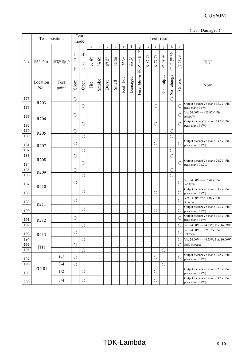|            |                  |               |                                              |                                     |        |       |             |              |         |         |                  |                                        |                                     |                         |                          |                         | (Da: Damaged)                                        |
|------------|------------------|---------------|----------------------------------------------|-------------------------------------|--------|-------|-------------|--------------|---------|---------|------------------|----------------------------------------|-------------------------------------|-------------------------|--------------------------|-------------------------|------------------------------------------------------|
|            |                  | Test position |                                              | Test<br>mode                        |        |       |             |              |         |         |                  |                                        | Test result                         |                         |                          |                         |                                                      |
|            |                  |               |                                              |                                     | a      | b     | $\mathbf c$ | d            | e       | f       | g                | h                                      | $\mathbf{1}$                        |                         | $\bf k$                  | $\mathbf{l}$            |                                                      |
| No.        | 部品No.            | 試験端子          | $\ddot{\checkmark}$<br>$\exists$<br>$\vdash$ | オー<br>プ<br>$\overline{\mathscr{S}}$ | 発<br>火 | 発煙    | 破裂          | 異臭           | 赤熱      | 破<br>損  | ヒ<br>ユ<br>ズ<br>断 | $\bigcirc$<br>$\bar{V}$<br>$\mathbf P$ | $\circ$<br>$\mathcal{C}$<br>$\rm P$ | 出<br>力<br>断             | 変化な<br>し                 | そ<br>$\mathcal{O}$<br>他 | 記事                                                   |
|            | Location<br>No.  | Test<br>point | Short                                        | Open                                | Fire   | Smoke | Burst       | <b>Smell</b> | Red hot | Damaged | blown<br>Fuse    |                                        |                                     | output<br>$\frac{1}{2}$ | change<br>$\overline{a}$ | Others                  | Note                                                 |
| 175        |                  |               | $\bigcirc$                                   |                                     |        |       |             |              |         |         |                  |                                        |                                     |                         | $\bigcirc$               |                         |                                                      |
| 176        | R <sub>203</sub> |               |                                              | $\bigcirc$                          |        |       |             |              |         |         |                  |                                        | $\bigcirc$                          |                         |                          | $\bigcirc$              | Output hiccup(Vo max: 33.2V; Pin<br>peak max: 91W)   |
| 177        | R <sub>204</sub> |               | $\bigcirc$                                   |                                     |        |       |             |              |         |         |                  |                                        |                                     |                         |                          | $\bigcirc$              | Vo: $24.00V = > 23.97V$ ; Pin<br>:66.00W             |
| 178        |                  |               |                                              | $\bigcirc$                          |        |       |             |              |         |         |                  |                                        | $\bigcirc$                          |                         |                          | $\bigcirc$              | Output hiccup(Vo max: 33.2V; Pin<br>peak max: 91W)   |
| 179        | R <sub>205</sub> |               | $\bigcirc$                                   |                                     |        |       |             |              |         |         |                  |                                        |                                     |                         | $\bigcirc$               |                         |                                                      |
| 180<br>181 |                  |               | $\bigcirc$                                   | $\overline{O}$                      |        |       |             |              |         |         |                  |                                        | $\bigcirc$                          |                         | $\bigcirc$               | $\bigcirc$              | Output hiccup(Vo max: 33.8V; Pin<br>peak max: 91W)   |
| 182        | R <sub>207</sub> |               |                                              | $\bigcirc$                          |        |       |             |              |         |         |                  |                                        |                                     |                         | $\bigcirc$               |                         |                                                      |
| 183        |                  |               | $\bigcirc$                                   |                                     |        |       |             |              |         |         |                  |                                        |                                     |                         | $\bigcirc$               |                         |                                                      |
| 184        | R <sub>208</sub> |               |                                              | $\bigcirc$                          |        |       |             |              |         |         |                  |                                        |                                     |                         |                          | $\bigcirc$              | Output hiccup(Vo max: 24.2V; Pin<br>peak max: 71.2W) |
| 185        |                  |               | $\bigcirc$                                   |                                     |        |       |             |              |         |         |                  |                                        |                                     |                         | $\bigcirc$               |                         |                                                      |
| 186        | R <sub>209</sub> |               |                                              | $\bigcirc$                          |        |       |             |              |         |         |                  |                                        |                                     |                         | $\bigcirc$               |                         |                                                      |
| 187        | R210             |               | $\bigcirc$                                   |                                     |        |       |             |              |         |         |                  |                                        |                                     |                         |                          | $\bigcirc$              | Vo: $24.00V = > 15.44V$ ; Pin<br>:43.85W             |
| 188        |                  |               |                                              | $\bigcirc$                          |        |       |             |              |         |         |                  |                                        | $\bigcirc$                          |                         |                          | $\bigcirc$              | Output hiccup(Vo max: 33.2V; Pin<br>peak max: 88W)   |
| 189        | R211             |               | $\bigcirc$                                   |                                     |        |       |             |              |         |         |                  |                                        |                                     |                         |                          | $\bigcirc$              | Vo: $24.00V = >11.07V$ ; Pin:<br>33.43W              |
| 190        |                  |               |                                              | $\bigcirc$                          |        |       |             |              |         |         |                  |                                        | $\bigcirc$                          |                         |                          | O                       | Output hiccup(Vo max: 33.2V; Pin<br>peak max: 88W)   |
| 191        | R212             |               | $\bigcirc$                                   |                                     |        |       |             |              |         |         |                  |                                        |                                     |                         |                          | $\bigcirc$              | Output hiccup(Vo max: 33.4V; Pin<br>peak max: 92W)   |
| 192        |                  |               |                                              | $\bigcirc$                          |        |       |             |              |         |         |                  |                                        |                                     |                         |                          | $\bigcirc$              | Vo: $24.00V = > 4.53V$ ; Pin: 16.09W                 |
| 193        | R213             |               | $\bigcirc$                                   |                                     |        |       |             |              |         |         |                  |                                        |                                     |                         |                          | $\bigcirc$              | Vo: 24.00V = > 26.15V; Pin<br>:71.97W                |
| 194        |                  |               |                                              | $\bigcirc$                          |        |       |             |              |         |         |                  |                                        |                                     |                         |                          | $\bigcirc$              | Vo: $24.00V = > 4.53V$ ; Pin: 16.09W                 |
| 195<br>196 | TH1              |               | $\bigcirc$                                   | $\bigcirc$                          |        |       |             |              |         |         |                  |                                        |                                     | $\bigcirc$              |                          | $\bigcirc$              | Effi. Increase                                       |
| 197        |                  | $1 - 2$       | $\bigcirc$                                   |                                     |        |       |             |              |         |         |                  |                                        | $\bigcirc$                          |                         |                          | $\bigcirc$              | Output hiccup(Vo max: 33.8V; Pin<br>peak max: 91W)   |
| 198        |                  | $3-4$         | $\bigcirc$                                   |                                     |        |       |             |              |         |         |                  |                                        |                                     | $\bigcirc$              |                          |                         |                                                      |
| 199        | PC101            | 1/2           |                                              | $\bigcirc$                          |        |       |             |              |         |         |                  |                                        | $\bigcirc$                          |                         |                          |                         | Output hiccup(Vo max: 32.8V; Pin<br>peak max: 97W)   |
| 200        |                  | 3/4           |                                              | О                                   |        |       |             |              |         |         |                  |                                        | $\bigcirc$                          |                         |                          |                         | Output hiccup(Vo max: 33.6V; Pin<br>peak max: 97W)   |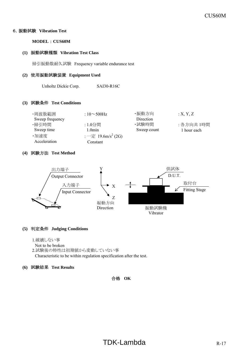## 6.振動試験 **Vibration Test**

**MODEL** : **CUS60M**

#### **(1)** 振動試験種類 **Vibration Test Class**

掃引振動数耐久試験 Frequency variable endurance test

#### **(2)** 使用振動試験装置 **Equipment Used**

Unholtz Dickie Corp. SAI30-R16C

#### **(3)** 試験条件 **Test Conditions**

| ・周波数範囲          | : $10 \sim 500$ Hz                                     | ・振動方向       | X, Y, Z     |
|-----------------|--------------------------------------------------------|-------------|-------------|
| Sweep frequency |                                                        | Direction   |             |
| ・掃引時間           | : 1.0分間                                                | ·試験時間       | : 各方向共 1時間  |
| Sweep time      | 1.0min                                                 | Sweep count | 1 hour each |
| ·加速度            | $:$ $\rightarrow \mathbb{E}$ 19.6m/s <sup>2</sup> (2G) |             |             |
| Acceleration    | Constant                                               |             |             |

## **(4)** 試験方法 **Test Method**



## **(5)** 判定条件 **Judging Conditions**

1.破壊しない事

Not to be broken 2.試験後の特性は初期値から変動していない事 Characteristic to be within regulation specification after the test.

#### **(6)** 試験結果 **Test Results**

### 合格 **OK**

# $TDK-Lambda$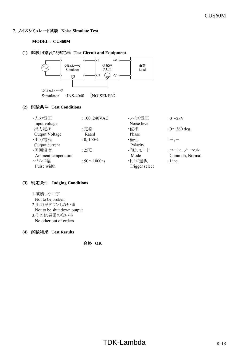## **7**.ノイズシミュレート試験 **Noise Simulate Test**

#### **MODEL** : **CUS60M**

#### **(1)** 試験回路及び測定器 **Test Circuit and Equipment**



#### **(2)** 試験条件 **Test Conditions**

| ・入力電圧               | : $100, 240$ VAC    | ・ノイズ雷圧      | : $0\infty2kV$     |
|---------------------|---------------------|-------------|--------------------|
| Input voltage       |                     | Noise level |                    |
| ・出力電圧               | :定格                 | ・位相         | : $0 \sim 360$ deg |
| Output Voltage      | Rated               | Phase       |                    |
| ·出力電流               | $: 0, 100\%$        | ・極性         | $: +,-$            |
| Output current      |                     | Polarity    |                    |
| ・周囲温度               | : $25^{\circ}$ C    | ・印加モード      | : コモン、ノーマル         |
| Ambient temperature |                     | Mode        | Common, Normal     |
| ・パルス幅               | : $50 \sim 1000$ ns | ・トリガ選択      | $:$ Line           |
| Pulse width         | Trigger select      |             |                    |

#### **(3)** 判定条件 **Judging Conditions**

1.破壊しない事 Not to be broken 2.出力がダウンしない事 Not to be shut down output 3.その他異常のない事 No other out of orders

#### **(4)** 試験結果 **Test Results**

合格 **OK**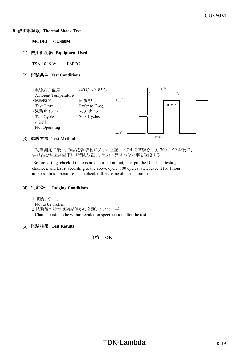#### **8**.熱衝撃試験 **Thermal Shock Test**

**MODEL** : **CUS60M**

#### **(1)** 使用計測器 **Equipment Used**

TSA-101S-W : ESPEC

#### **(2)** 試験条件 **Test Conditions**



#### **(3)** 試験方法 **Test Method**

 初期測定の後、供試品を試験槽に入れ、上記サイクルで試験を行う。700サイクル後に、 供試品を常温常湿下に1時間放置し、出力に異常がない事を確認する。

 Before testing, check if there is no abnormal output, then put the D.U.T. in testing chamber, and test it according to the above cycle. 700 cycles later, leave it for 1 hour at the room temperature , then check if there is no abnormal output.

#### **(4)** 判定条件 **Judging Conditions**

1.破壊しない事

```
Not to be broken
```
2.試験後の特性は初期値から変動していない事

Characteristic to be within regulation specification after the test.

#### **(5)** 試験結果 **Test Results**

合格 **OK**